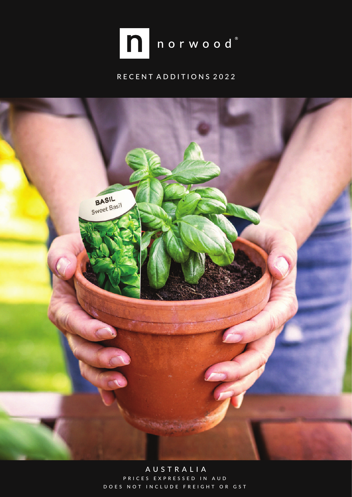

## RECENT ADDITIONS 2022



A U S T R A L I A PRICES EXPRESSED IN AUD DOES NOT INCLUDE FREIGHT OR GST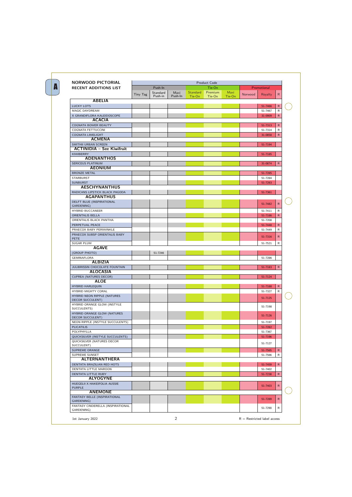| <b>NORWOOD PICTORIAL</b>                                    |          |                     |                 |                    | <b>Product Code</b> |                |         |                    |              |          |
|-------------------------------------------------------------|----------|---------------------|-----------------|--------------------|---------------------|----------------|---------|--------------------|--------------|----------|
| <b>RECENT ADDITIONS LIST</b>                                |          | Push-In             |                 |                    | Tie-On              |                |         | Promotional        |              |          |
|                                                             | Tiny Tag | Standard<br>Push-in | Maxi<br>Push-In | Standard<br>Tie-On | Premium<br>Tie-On   | Maxi<br>Tie-On | Norwood | Royalty            | $\mathsf{R}$ |          |
| <b>ABELIA</b>                                               |          |                     |                 |                    |                     |                |         |                    |              |          |
| <b>LUCKY LOTS</b>                                           |          |                     |                 |                    |                     |                |         | 51-7466            | $\mathsf{R}$ |          |
| MAGIC DAYDREAM                                              |          |                     |                 |                    |                     |                |         | 51-7467            | R            |          |
| X GRANDIFLORA KALEIDOSCOPE                                  |          |                     |                 |                    |                     |                |         | 31-0909            | $\mathsf{R}$ |          |
| <b>ACACIA</b>                                               |          |                     |                 |                    |                     |                |         |                    |              |          |
| <b>COGNATA BOWER BEAUTY</b>                                 |          |                     |                 |                    |                     |                |         | 51-7313            | $\mathsf{R}$ |          |
| <b>COGNATA FETTUCCINI</b>                                   |          |                     |                 |                    |                     |                |         | 51-7314            | R            |          |
| <b>COGNATA LIMELIGHT</b><br><b>ACMENA</b>                   |          |                     |                 |                    |                     |                |         | 31-0858            | $\mathsf{R}$ |          |
| SMITHII URBAN SCREEN                                        |          |                     |                 |                    |                     |                |         | 51-7194            |              |          |
| <b>ACTINIDIA - See Kiwifruit</b>                            |          |                     |                 |                    |                     |                |         |                    |              |          |
| <b>KIWIBERRY</b>                                            |          |                     |                 |                    |                     |                |         | 51-7185            |              |          |
| <b>ADENANTHOS</b>                                           |          |                     |                 |                    |                     |                |         |                    |              |          |
| <b>SERICEUS PLATINUM</b>                                    |          |                     |                 |                    |                     |                |         | 31-0874            | $\mathsf{R}$ |          |
| <b>AEONIUM</b>                                              |          |                     |                 |                    |                     |                |         |                    |              |          |
| <b>BRONZE METAL</b>                                         |          |                     |                 |                    |                     |                |         | 51-7285            |              |          |
| <b>STARBURST</b><br><b>SUNBURST</b>                         |          |                     |                 |                    |                     |                |         | 51-7284<br>51-7283 |              |          |
| <b>AESCHYNANTHUS</b>                                        |          |                     |                 |                    |                     |                |         |                    |              |          |
| RADICANS LIPSTICK BLACK PAGODA                              |          |                     |                 |                    |                     |                |         | 51-7361            |              |          |
| <b>AGAPANTHUS</b>                                           |          |                     |                 |                    |                     |                |         |                    |              |          |
| DELFT BLUE (INSPIRATIONAL                                   |          |                     |                 |                    |                     |                |         | 51-7482            | $\mathsf{R}$ |          |
| GARDENING)                                                  |          |                     |                 |                    |                     |                |         |                    |              |          |
| <b>HYBRID BUCCANEER</b>                                     |          |                     |                 |                    |                     |                |         | 51-7411            | R            |          |
| <b>ORIENTALIS BELLA</b>                                     |          |                     |                 |                    |                     |                |         | 51-7186            | $\mathsf{R}$ |          |
| ORIENTALIS BLACK PANTHA<br>PERPETUAL PEACE                  |          |                     |                 |                    |                     |                |         | 51-7208<br>51-7448 | $\mathsf{R}$ |          |
| PRAECOX BABY PERIWINKLE                                     |          |                     |                 |                    |                     |                |         | 51-7449            | R            |          |
| PRAECOX SUBSP ORIENTALIS BABY                               |          |                     |                 |                    |                     |                |         |                    |              |          |
| <b>PETE</b>                                                 |          |                     |                 |                    |                     |                |         | 51-7316            | $\mathsf{R}$ |          |
| <b>SUGAR PLUM</b>                                           |          |                     |                 |                    |                     |                |         | 51-7521            | R            |          |
| <b>AGAVE</b>                                                |          |                     |                 |                    |                     |                |         |                    |              |          |
| (GROUP PHOTO)                                               |          | 51-7246             |                 |                    |                     |                |         | 51-7286            |              |          |
| GEMINAFLORA<br><b>ALBIZIA</b>                               |          |                     |                 |                    |                     |                |         |                    |              |          |
| <b>JULIBRISSIN CHOCOLATE FOUNTAIN</b>                       |          |                     |                 |                    |                     |                |         | 51-7183            | $\mathsf{R}$ |          |
| <b>ALOCASIA</b>                                             |          |                     |                 |                    |                     |                |         |                    |              |          |
| <b>CUPREA (NATURES DECOR)</b>                               |          |                     |                 |                    |                     |                |         | 51-7124            |              |          |
| <b>ALOE</b>                                                 |          |                     |                 |                    |                     |                |         |                    |              |          |
| <b>HYBRID HARLEQUIN</b>                                     |          |                     |                 |                    |                     |                |         | 51-7188            | $\mathsf{R}$ |          |
| HYBRID MIGHTY CORAL                                         |          |                     |                 |                    |                     |                |         | 51-7327            | R            |          |
| HYBRID NEON RIPPLE (NATURES<br><b>DECOR SUCCULENT)</b>      |          |                     |                 |                    |                     |                |         | 51-7125            |              | (        |
| HYBRID ORANGE GLOW (INSTYLE                                 |          |                     |                 |                    |                     |                |         |                    |              |          |
| SUCCULENTS)                                                 |          |                     |                 |                    |                     |                |         | 51-7198            |              |          |
| <b>HYBRID ORANGE GLOW (NATURES</b>                          |          |                     |                 |                    |                     |                |         | 51-7126            |              |          |
| <b>DECOR SUCCULENT)</b><br>NEON RIPPLE (INSTYLE SUCCULENTS) |          |                     |                 |                    |                     |                |         | 51-7197            |              |          |
| <b>PLICATILIS</b>                                           |          |                     |                 |                    |                     |                |         | 51-7282            |              |          |
| POLYPHYLLA                                                  |          |                     |                 |                    |                     |                |         | 51-7367            |              |          |
| QUICKSILVER (INSTYLE SUCCULENTS)                            |          |                     |                 |                    |                     |                |         | 51-7196            |              |          |
| QUICKSILVER (NATURES DECOR                                  |          |                     |                 |                    |                     |                |         | 51-7127            |              |          |
| SUCCULENT)                                                  |          |                     |                 |                    |                     |                |         |                    |              |          |
| SUPREME ORANGE                                              |          |                     |                 |                    |                     |                |         | 51-7565            | $\mathsf{R}$ |          |
| SUPREME SUNSET<br><b>ALTERNANTHERA</b>                      |          |                     |                 |                    |                     |                |         | 51-7566            | R            |          |
| DENTATA BRAZILIAN RED HOTS                                  |          |                     |                 |                    |                     |                |         | 51-7459            | $\mathsf{R}$ |          |
| <b>DENTATA LITTLE MAROON</b>                                |          |                     |                 |                    |                     |                |         | 51-7402            |              |          |
| DENTATA LITTLE RUBY                                         |          |                     |                 |                    |                     |                |         | 51-7238            | $\mathsf{R}$ |          |
| <b>ALYOGYNE</b>                                             |          |                     |                 |                    |                     |                |         |                    |              |          |
| HUEGELII X HAKEIFOLIA AUSSIE                                |          |                     |                 |                    |                     |                |         | 51-7403            | $\mathsf{R}$ |          |
| <b>PURPLE</b><br><b>ANEMONE</b>                             |          |                     |                 |                    |                     |                |         |                    |              | $\left($ |
| FANTASY BELLE (INSPIRATIONAL                                |          |                     |                 |                    |                     |                |         |                    |              |          |
| GARDENING)                                                  |          |                     |                 |                    |                     |                |         | 51-7289            | $\mathsf{R}$ |          |
| FANTASY CINDERELLA (INSPIRATIONAL<br>GARDENING)             |          |                     |                 |                    |                     |                |         | 51-7290            | R            |          |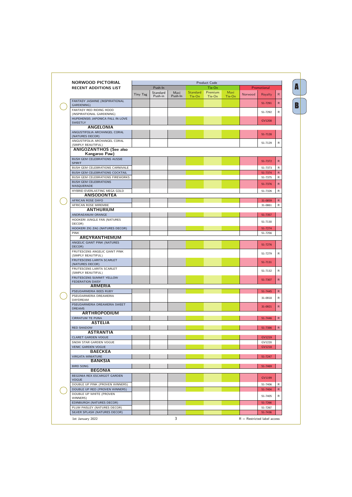| <b>NORWOOD PICTORIAL</b>                                               |          |                     |                 |                           | <b>Product Code</b> |                |         |                    |              |
|------------------------------------------------------------------------|----------|---------------------|-----------------|---------------------------|---------------------|----------------|---------|--------------------|--------------|
| <b>RECENT ADDITIONS LIST</b>                                           |          | Push-In             |                 |                           | Tie-On              |                |         | Promotional        |              |
|                                                                        | Tiny Tag | Standard<br>Push-in | Maxi<br>Push-In | <b>Standard</b><br>Tie-On | Premium<br>Tie-On   | Maxi<br>Tie-On | Norwood | Royalty            | $\mathsf{R}$ |
| FANTASY JASMINE (INSPIRATIONAL<br>GARDENING)                           |          |                     |                 |                           |                     |                |         | 51-7291            | $\mathsf{R}$ |
| FANTASY RED RIDING HOOD<br>(INSPIRATIONAL GARDENING)                   |          |                     |                 |                           |                     |                |         | 51-7292            | R            |
| HUPEHENSIS JAPONICA FALL IN LOVE<br><b>SWEETLY</b>                     |          |                     |                 |                           |                     |                |         | GV1208             |              |
| <b>ANGELONIA</b>                                                       |          |                     |                 |                           |                     |                |         |                    |              |
| ANGUSTIFOLIA ARCHANGEL CORAL<br>(NATURES DECOR)                        |          |                     |                 |                           |                     |                |         | 51-7128            |              |
| ANGUSTIFOLIA ARCHANGEL CORAL<br>(SIMPLY BEAUTIFUL)                     |          |                     |                 |                           |                     |                |         | 51-7129            | R.           |
| <b>ANIGOZANTHOS (See also</b><br>Kangaroo Paw)                         |          |                     |                 |                           |                     |                |         |                    |              |
| BUSH GEM CELEBRATIONS AUSSIE                                           |          |                     |                 |                           |                     |                |         |                    |              |
| <b>SPIRIT</b>                                                          |          |                     |                 |                           |                     |                |         | 51-7372            | $\mathsf{R}$ |
| BUSH GEM CELEBRATIONS CARNIVALE                                        |          |                     |                 |                           |                     |                |         | 51-7373            | R            |
| BUSH GEM CELEBRATIONS COCKTAIL                                         |          |                     |                 |                           |                     |                |         | 51-7374            | $\mathsf{R}$ |
| <b>BUSH GEM CELEBRATIONS FIREWORKS</b><br><b>BUSH GEM CELEBRATIONS</b> |          |                     |                 |                           |                     |                |         | 51-7375            | R            |
| MASQUERADE                                                             |          |                     |                 |                           |                     |                |         | 51-7376            | $\mathsf{R}$ |
| HYBRID EVERLASTING MEGA GOLD                                           |          |                     |                 |                           |                     |                |         | 51-7326            | $\mathsf{R}$ |
| <b>ANISODONTEA</b>                                                     |          |                     |                 |                           |                     |                |         |                    |              |
| AFRICAN ROSE DAYO                                                      |          |                     |                 |                           |                     |                |         | 31-0859            | $\mathsf{R}$ |
| AFRICAN ROSE MIREMBE                                                   |          |                     |                 |                           |                     |                |         | 31-0861            | R            |
| <b>ANTHURIUM</b>                                                       |          |                     |                 |                           |                     |                |         |                    |              |
| ANDRAEANUM ORANGE<br>HOOKERI JUNGLE FAN (NATURES                       |          |                     |                 |                           |                     |                |         | 51-7357            |              |
| DECOR)                                                                 |          |                     |                 |                           |                     |                |         | 51-7130            |              |
| HOOKERI ZIG ZAG (NATURES DECOR)                                        |          |                     |                 |                           |                     |                |         | 51-7274            |              |
| <b>PINK</b>                                                            |          |                     |                 |                           |                     |                |         | 51-7256            |              |
| <b>ARGYRANTHEMUM</b>                                                   |          |                     |                 |                           |                     |                |         |                    |              |
| ANGELIC GIANT PINK (NATURES<br>DECOR)                                  |          |                     |                 |                           |                     |                |         | 51-7276            |              |
| FRUTESCENS ANGELIC GIANT PINK<br>(SIMPLY BEAUTIFUL)                    |          |                     |                 |                           |                     |                |         | 51-7279            | R            |
| FRUTESCENS LARITA SCARLET<br>(NATURES DECOR)                           |          |                     |                 |                           |                     |                |         | 51-7131            |              |
| FRUTESCENS LARITA SCARLET<br>(SIMPLY BEAUTIFUL)                        |          |                     |                 |                           |                     |                |         | 51-7132            | R            |
| FRUTESCENS SUMMIT YELLOW<br>FEDERATION DAISY                           |          |                     |                 |                           |                     |                |         | 51-7307            | $\mathsf{R}$ |
| <b>ARMERIA</b>                                                         |          |                     |                 |                           |                     |                |         |                    |              |
| PSEUDARMERIA BEES RUBY                                                 |          |                     |                 |                           |                     |                |         | 51-7445            | $\mathsf{R}$ |
| PSEUDARMERIA DREAMERIA<br>DAYDREAM                                     |          |                     |                 |                           |                     |                |         | 31-0918            | R            |
| PSEUDARMERIA DREAMERIA SWEET                                           |          |                     |                 |                           |                     |                |         | 31-0921            | $\mathsf{R}$ |
| <b>DREAMS</b><br><b>ARTHROPODIUM</b>                                   |          |                     |                 |                           |                     |                |         |                    |              |
| <b>CIRRATUM TE PUNA</b>                                                |          |                     |                 |                           |                     |                |         | 51-7446            | $\mathsf{R}$ |
| <b>ASTELIA</b>                                                         |          |                     |                 |                           |                     |                |         |                    |              |
| <b>RED SHADOW</b>                                                      |          |                     |                 |                           |                     |                |         | 51-7386            | $\mathsf{R}$ |
| <b>ASTRANTIA</b>                                                       |          |                     |                 |                           |                     |                |         |                    |              |
| <b>CLARET GARDEN VOGUE</b>                                             |          |                     |                 |                           |                     |                |         | GV1219             |              |
| SNOW STAR GARDEN VOGUE                                                 |          |                     |                 |                           |                     |                |         | GV1220             |              |
| <b>VENIC GARDEN VOGUE</b><br><b>BAECKEA</b>                            |          |                     |                 |                           |                     |                |         | <b>GV1218</b>      |              |
| <b>VIRGATA MINIATURE</b>                                               |          |                     |                 |                           |                     |                |         | 51-7247            |              |
| <b>BANKSIA</b>                                                         |          |                     |                 |                           |                     |                |         |                    |              |
| <b>BIRD SONG</b>                                                       |          |                     |                 |                           |                     |                |         | 51-7469            |              |
| <b>BEGONIA</b>                                                         |          |                     |                 |                           |                     |                |         |                    |              |
| BEGONIA REX ESCARGOT GARDEN<br><b>VOGUE</b>                            |          |                     |                 |                           |                     |                |         | GV1199             |              |
| DOUBLE UP PINK (PROVEN WINNERS)                                        |          |                     |                 |                           |                     |                |         | 51-7406            | R            |
| DOUBLE UP RED (PROVEN WINNERS)<br>DOUBLE UP WHITE (PROVEN              |          |                     |                 |                           |                     |                |         | 51-7404            | $\mathsf{R}$ |
| WINNERS)                                                               |          |                     |                 |                           |                     |                |         | 51-7405            | R            |
| EDINBURGH (NATURES DECOR)                                              |          |                     |                 |                           |                     |                |         | 51-7266            |              |
| PLUM PAISLEY (NATURES DECOR)<br>SILVER SPLASH (NATURES DECOR)          |          |                     |                 |                           |                     |                |         | 51-7267<br>51-7436 |              |
|                                                                        |          |                     |                 |                           |                     |                |         |                    |              |

A<br>B

 $\overline{\mathbf{B}}$ 

 $\overline{\mathbf{A}}$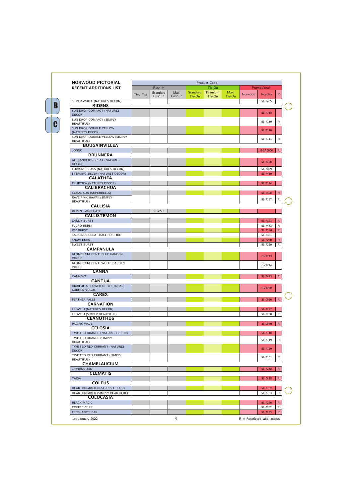| <b>NORWOOD PICTORIAL</b>                             | <b>Product Code</b> |                     |                 |                           |                   |                |         |                |              |
|------------------------------------------------------|---------------------|---------------------|-----------------|---------------------------|-------------------|----------------|---------|----------------|--------------|
| <b>RECENT ADDITIONS LIST</b>                         |                     | Push-In             |                 |                           | Tie-On            |                |         | Promotional    |              |
|                                                      | Tiny Tag            | Standard<br>Push-in | Maxi<br>Push-In | <b>Standard</b><br>Tie-On | Premium<br>Tie-On | Maxi<br>Tie-On | Norwood | Royalty        | R            |
| SILVER WHITE (NATURES DECOR)                         |                     |                     |                 |                           |                   |                |         | 51-7465        |              |
| <b>BIDENS</b>                                        |                     |                     |                 |                           |                   |                |         |                |              |
| SUN DROP COMPACT (NATURES<br>DECOR)                  |                     |                     |                 |                           |                   |                |         | 51-7138        |              |
| SUN DROP COMPACT (SIMPLY<br><b>BEAUTIFUL)</b>        |                     |                     |                 |                           |                   |                |         | 51-7139        | R            |
| SUN DROP DOUBLE YELLOW<br>(NATURES DECOR)            |                     |                     |                 |                           |                   |                |         | 51-7140        |              |
| SUN DROP DOUBLE YELLOW (SIMPLY<br><b>BEAUTIFUL)</b>  |                     |                     |                 |                           |                   |                |         | 51-7141        | R            |
| <b>BOUGAINVILLEA</b>                                 |                     |                     |                 |                           |                   |                |         |                | $\mathsf{R}$ |
| <b>JONNO</b><br><b>BRUNNERA</b>                      |                     |                     |                 |                           |                   |                |         | <b>BGA0006</b> |              |
| ALEXANDER'S GREAT (NATURES<br>DECOR)                 |                     |                     |                 |                           |                   |                |         | 51-7428        |              |
| LOOKING GLASS (NATURES DECOR)                        |                     |                     |                 |                           |                   |                |         | 51-7429        |              |
| STERLING SILVER (NATURES DECOR)<br><b>CALATHEA</b>   |                     |                     |                 |                           |                   |                |         | 51-7430        |              |
| ELLIPTICA (NATURES DECOR)                            |                     |                     |                 |                           |                   |                |         | 51-7144        |              |
| <b>CALIBRACHOA</b>                                   |                     |                     |                 |                           |                   |                |         |                |              |
| <b>CORAL SUN (SUPERBELLS)</b>                        |                     |                     |                 |                           |                   |                |         | 51-7408        | $\mathsf{R}$ |
| RAVE PINK HAWAII (SIMPLY<br><b>BEAUTIFUL)</b>        |                     |                     |                 |                           |                   |                |         | 51-7147        | R            |
| <b>CALLISIA</b>                                      |                     |                     |                 |                           |                   |                |         |                |              |
| REPENS VARIEGATE                                     |                     | 51-7221             |                 |                           |                   |                |         |                |              |
| <b>CALLISTEMON</b>                                   |                     |                     |                 |                           |                   |                |         |                |              |
| <b>CANDY BURST</b>                                   |                     |                     |                 |                           |                   |                |         | 51-7391        | $\mathsf{R}$ |
| <b>FLURO BURST</b>                                   |                     |                     |                 |                           |                   |                |         | 51-7443        | R            |
| <b>ICY BURST</b>                                     |                     |                     |                 |                           |                   |                |         | 51-7240        | $\mathsf{R}$ |
| SALIGINUS GREAT BALLS OF FIRE                        |                     |                     |                 |                           |                   |                |         | 51-7321        |              |
| <b>SNOW BURST</b>                                    |                     |                     |                 |                           |                   |                |         | 51-7260        | $\mathsf{R}$ |
| <b>SWEET BURST</b>                                   |                     |                     |                 |                           |                   |                |         | 51-7259        | R            |
| <b>CAMPANULA</b>                                     |                     |                     |                 |                           |                   |                |         |                |              |
| <b>GLOMERATA GENTI BLUE GARDEN</b><br><b>VOGUE</b>   |                     |                     |                 |                           |                   |                |         | GV1213         |              |
| <b>GLOMERATA GENTI WHITE GARDEN</b><br>VOGUE         |                     |                     |                 |                           |                   |                |         | GV1214         |              |
| <b>CANNA</b>                                         |                     |                     |                 |                           |                   |                |         |                |              |
| CANNOVA                                              |                     |                     |                 |                           |                   |                |         | 51-7413        | $\mathsf{R}$ |
| <b>CANTUA</b>                                        |                     |                     |                 |                           |                   |                |         |                |              |
| BUXIFOLIA FLOWER OF THE INCAS<br><b>GARDEN VOGUE</b> |                     |                     |                 |                           |                   |                |         | GV1200         |              |
| <b>CAREX</b>                                         |                     |                     |                 |                           |                   |                |         |                |              |
| <b>FEATHER FALLS</b>                                 |                     |                     |                 |                           |                   |                |         | 31-0910        | $\mathsf{R}$ |
| <b>CARNATION</b>                                     |                     |                     |                 |                           |                   |                |         |                |              |
| I LOVE U (NATURES DECOR)                             |                     |                     |                 |                           |                   |                |         | 51-7277        |              |
| I LOVE U (SIMPLY BEAUTIFUL)                          |                     |                     |                 |                           |                   |                |         | 51-7280        | R            |
| <b>CEANOTHUS</b>                                     |                     |                     |                 |                           |                   |                |         |                |              |
| PACIFIC WAVE<br><b>CELOSIA</b>                       |                     |                     |                 |                           |                   |                |         | 31-0940        | $\mathsf{R}$ |
| TWISTED ORANGE (NATURES DECOR)                       |                     |                     |                 |                           |                   |                |         | 51-7148        |              |
| TWISTED ORANGE (SIMPLY<br><b>BEAUTIFUL)</b>          |                     |                     |                 |                           |                   |                |         | 51-7149        | R            |
| TWISTED RED CURRANT (NATURES<br>DECOR)               |                     |                     |                 |                           |                   |                |         | 51-7150        |              |

| <b>CHAMELAUCIUM</b>         |  |
|-----------------------------|--|
| <b>BEAUTIFUL)</b>           |  |
| TWISTED RED CURRANT (SIMPLY |  |
| <b>DLCON</b>                |  |

 $\mathbf{B}$ <br> $\overline{\mathbf{c}}$ 

C

 $\mathbf{B}$ 

R

R

R

R

R

R

R

ELEPHANT'S EAR **51-7233**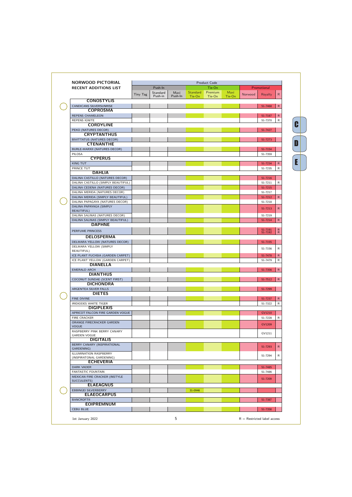## NORWOOD PICTORIAL

| <b>NORWOOD PICTORIAL</b>                           |          |          |         |          | <b>Product Code</b> |        |                |                    |                 |
|----------------------------------------------------|----------|----------|---------|----------|---------------------|--------|----------------|--------------------|-----------------|
| <b>RECENT ADDITIONS LIST</b>                       |          | Push-In  |         |          | Tie-On              |        |                | Promotional        |                 |
|                                                    |          | Standard | Maxi    | Standard | Premium             | Maxi   |                |                    |                 |
|                                                    | Tiny Tag | Push-in  | Push-In | Tie-On   | Tie-On              | Tie-On | <b>Norwood</b> | Royalty            | $\mathsf{R}$    |
| <b>CONOSTYLIS</b>                                  |          |          |         |          |                     |        |                |                    |                 |
| CANDICANS SILVERSUNRISE                            |          |          |         |          |                     |        |                | 51-7468            | $\mathsf{R}$    |
| <b>COPROSMA</b>                                    |          |          |         |          |                     |        |                |                    |                 |
| <b>REPENS CHAMELEON</b>                            |          |          |         |          |                     |        |                |                    |                 |
|                                                    |          |          |         |          |                     |        |                | 51-7187            | $\mathsf{R}$    |
| <b>REPENS IGNITE</b>                               |          |          |         |          |                     |        |                | 51-7370            | $\mathsf{R}$    |
| <b>CORDYLINE</b>                                   |          |          |         |          |                     |        |                |                    |                 |
| PEKO (NATURES DECOR)                               |          |          |         |          |                     |        |                | 51-7427            |                 |
| <b>CRYPTANTHUS</b>                                 |          |          |         |          |                     |        |                |                    |                 |
| <b>BIVITTATUS (NATURES DECOR)</b>                  |          |          |         |          |                     |        |                | 51-7273            |                 |
| <b>CTENANTHE</b>                                   |          |          |         |          |                     |        |                |                    |                 |
| BURLE-MARXII (NATURES DECOR)                       |          |          |         |          |                     |        |                | 51-7154            |                 |
| PILOSA                                             |          |          |         |          |                     |        |                | 51-7359            |                 |
| <b>CYPERUS</b>                                     |          |          |         |          |                     |        |                |                    |                 |
| <b>KING TUT</b>                                    |          |          |         |          |                     |        |                | 51-7234            | $\mathsf{R}$    |
| PRINCE TUT                                         |          |          |         |          |                     |        |                |                    | R               |
| <b>DAHLIA</b>                                      |          |          |         |          |                     |        |                | 51-7235            |                 |
|                                                    |          |          |         |          |                     |        |                |                    |                 |
| DALINA CASTILLO (NATURES DECOR)                    |          |          |         |          |                     |        |                | 51-7216            |                 |
| DALINA CASTILLO (SIMPLY BEAUTIFUL)                 |          |          |         |          |                     |        |                | 51-7211            | $\mathsf{R}$    |
| DALINA CEDENA (NATURES DECOR)                      |          |          |         |          |                     |        |                | 51-7215            |                 |
| DALINA MERIDA (NATURES DECOR)                      |          |          |         |          |                     |        |                | 51-7217            |                 |
| DALINA MERIDA (SIMPLY BEAUTIFUL)                   |          |          |         |          |                     |        |                | 51-7212            | $R_{\parallel}$ |
| DALINA PAPAGAYA (NATURES DECOR)                    |          |          |         |          |                     |        |                | 51-7218            |                 |
| DALINA PAPAYAGA (SIMPLY                            |          |          |         |          |                     |        |                |                    |                 |
| <b>BEAUTIFUL)</b>                                  |          |          |         |          |                     |        |                | 51-7213            | $\mathsf{R}$    |
| DALINA SALINAS (NATURES DECOR)                     |          |          |         |          |                     |        |                | 51-7219            |                 |
| DALINA SALINAS (SIMPLY BEAUTIFUL)                  |          |          |         |          |                     |        |                | 51-7214            | R               |
| <b>DAPHNE</b>                                      |          |          |         |          |                     |        |                |                    |                 |
|                                                    |          |          |         |          |                     |        |                |                    |                 |
| PERFUME PRINCESS                                   |          |          |         |          |                     |        |                | 51-7191<br>51-7192 | R               |
| <b>DELOSPERMA</b>                                  |          |          |         |          |                     |        |                |                    |                 |
| DELMARA YELLOW (NATURES DECOR)                     |          |          |         |          |                     |        |                | 51-7155            |                 |
| DELMARA YELLOW (SIMPLY                             |          |          |         |          |                     |        |                |                    |                 |
| <b>BEAUTIFUL)</b>                                  |          |          |         |          |                     |        |                | 51-7156            | R               |
| ICE PLANT FUCHSIA (GARDEN CARPET)                  |          |          |         |          |                     |        |                | 51-7478            | $\mathsf{R}$    |
| ICE PLANT YELLOW (GARDEN CARPET)                   |          |          |         |          |                     |        |                | 51-7479            | R               |
| <b>DIANELLA</b>                                    |          |          |         |          |                     |        |                |                    |                 |
|                                                    |          |          |         |          |                     |        |                |                    |                 |
| EMERALD ARCH                                       |          |          |         |          |                     |        |                | 51-7356            | R               |
| <b>DIANTHUS</b>                                    |          |          |         |          |                     |        |                |                    |                 |
| COCONUT SUNDAE (SCENT FIRST)                       |          |          |         |          |                     |        |                | 51-7512            | R               |
| <b>DICHONDRA</b>                                   |          |          |         |          |                     |        |                |                    |                 |
| ARGENTEA SILVER FALLS                              |          |          |         |          |                     |        |                | 51-7299            |                 |
| <b>DIETES</b>                                      |          |          |         |          |                     |        |                |                    |                 |
| <b>FINE DIVINE</b>                                 |          |          |         |          |                     |        |                | 51-7237            | $\mathsf{R}$    |
| IRIDIODES WHITE TIGER                              |          |          |         |          |                     |        |                | 51-7322            | $\mathsf{R}$    |
| <b>DIGIPLEXIS</b>                                  |          |          |         |          |                     |        |                |                    |                 |
| APRICOT FALCON FIRE GARDEN VOGUE                   |          |          |         |          |                     |        |                | GV1210             |                 |
| FIRE CRACKER                                       |          |          |         |          |                     |        |                |                    |                 |
|                                                    |          |          |         |          |                     |        |                | 51-7228            | $\mathsf{R}$    |
| ORANGE FIRECRACKER GARDEN                          |          |          |         |          |                     |        |                | GV1209             |                 |
| <b>VOGUE</b>                                       |          |          |         |          |                     |        |                |                    |                 |
| RASPBERRY PINK BERRY CANARY<br><b>GARDEN VOGUE</b> |          |          |         |          |                     |        |                | GV1211             |                 |
| <b>DIGITALIS</b>                                   |          |          |         |          |                     |        |                |                    |                 |
|                                                    |          |          |         |          |                     |        |                |                    |                 |
| BERRY CANARY (INSPIRATIONAL                        |          |          |         |          |                     |        |                | 51-7293            | R               |
| GARDENING)                                         |          |          |         |          |                     |        |                |                    |                 |
| ILLUMINATION RASPBERRY                             |          |          |         |          |                     |        |                | 51-7294            | $\mathsf{R}$    |
| (INSPIRATONAL GARDENING)                           |          |          |         |          |                     |        |                |                    |                 |
| <b>ECHEVERIA</b>                                   |          |          |         |          |                     |        |                |                    |                 |
| <b>DARK VADER</b>                                  |          |          |         |          |                     |        |                | 51-7485            |                 |
| <b>FANTASTIC FOUNTAIN</b>                          |          |          |         |          |                     |        |                | 51-7486            |                 |
| MEXICAN FIRE CRACKER (INSTYLE                      |          |          |         |          |                     |        |                | 51-7209            |                 |
| SUCCULENTS)                                        |          |          |         |          |                     |        |                |                    |                 |
| <b>ELAEAGNUS</b>                                   |          |          |         |          |                     |        |                |                    |                 |
| EBBINGEI SILVERBERRY                               |          |          |         | 31-0946  |                     |        |                |                    |                 |
| <b>ELAEOCARPUS</b>                                 |          |          |         |          |                     |        |                |                    |                 |
| <b>BANCROFTII</b>                                  |          |          |         |          |                     |        |                | 51-7387            |                 |
| <b>EOIPREMNUM</b>                                  |          |          |         |          |                     |        |                |                    |                 |
| <b>CEBU BLUE</b>                                   |          |          |         |          |                     |        |                | 51-7358            |                 |

 $\overline{\mathbf{c}}$ C<br>C<br>D<br>E  $\begin{bmatrix} \textbf{0} \end{bmatrix}$  $\overline{E}$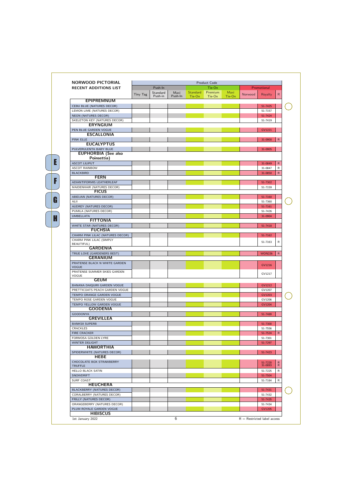## NORWOOD PICTORIAL

E<br>F<br>F<br>G<br>H

G

H

F

E

| <b>NORWOOD PICTORIAL</b>                          |          |          |         |          | <b>Product Code</b> |        |         |                    |              |    |
|---------------------------------------------------|----------|----------|---------|----------|---------------------|--------|---------|--------------------|--------------|----|
| <b>RECENT ADDITIONS LIST</b>                      |          | Push-In  |         |          | Tie-On              |        |         | Promotional        |              |    |
|                                                   | Tiny Tag | Standard | Maxi    | Standard | Premium             | Maxi   | Norwood | Royalty            | $\mathsf{R}$ |    |
|                                                   |          | Push-in  | Push-In | Tie-On   | Tie-On              | Tie-On |         |                    |              |    |
| <b>EPIPREMNUM</b>                                 |          |          |         |          |                     |        |         |                    |              |    |
| <b>CEBU BLUE (NATURES DECOR)</b>                  |          |          |         |          |                     |        |         | 51-7425            |              | C  |
| LEMON LIME (NATURES DECOR)                        |          |          |         |          |                     |        |         | 51-7157            |              |    |
| NEON (NATURES DECOR)                              |          |          |         |          |                     |        |         | 51-7424            |              |    |
| SKELETON KEY (NATURES DECOR)<br><b>ERYNGIUM</b>   |          |          |         |          |                     |        |         | 51-7419            |              |    |
|                                                   |          |          |         |          |                     |        |         |                    |              |    |
| PEN BLUE GARDEN VOGUE<br><b>ESCALLONIA</b>        |          |          |         |          |                     |        |         | GV1221             |              |    |
| <b>PINK ELLE</b>                                  |          |          |         |          |                     |        |         | 31-0900            | $\mathsf{R}$ |    |
| <b>EUCALYPTUS</b>                                 |          |          |         |          |                     |        |         |                    |              |    |
| PULVERULENTA BABY BLUE                            |          |          |         |          |                     |        |         | 31-0905            |              |    |
| <b>EUPHORBIA (See also</b>                        |          |          |         |          |                     |        |         |                    |              |    |
| Poinsettia)                                       |          |          |         |          |                     |        |         |                    |              |    |
| <b>ASCOT LILIPUT</b>                              |          |          |         |          |                     |        |         | 31-0849            | $\mathsf{R}$ |    |
| <b>ASCOT RAINBOW</b>                              |          |          |         |          |                     |        |         | 31-0847            | R            |    |
| <b>BLACKBIRD</b>                                  |          |          |         |          |                     |        |         | 31-0850            | R            |    |
| <b>FERN</b>                                       |          |          |         |          |                     |        |         |                    |              |    |
| ADIANTIFORMIS LEATHERLEAF                         |          |          |         |          |                     |        |         | 51-7302            |              |    |
| MAIDENHAIR (NATURES DECOR)                        |          |          |         |          |                     |        |         | 51-7159            |              |    |
| <b>FICUS</b>                                      |          |          |         |          |                     |        |         |                    |              |    |
| ABIDJAN (NATURES DECOR)                           |          |          |         |          |                     |        |         | 51-7160            |              |    |
| ALII                                              |          |          |         |          |                     |        |         | 51-7360            |              | ŗ. |
| AUDREY (NATURES DECOR)                            |          |          |         |          |                     |        |         | 51-7161            |              |    |
| PUMILA (NATURES DECOR)                            |          |          |         |          |                     |        |         | 51-7426            |              |    |
| <b>UMBELLATA</b>                                  |          |          |         |          |                     |        |         | 31-0904            |              |    |
| <b>FITTONIA</b>                                   |          |          |         |          |                     |        |         |                    |              |    |
| WHITE STAR (NATURES DECOR)                        |          |          |         |          |                     |        |         | 51-7418            |              |    |
| <b>FUCHSIA</b>                                    |          |          |         |          |                     |        |         |                    |              |    |
| CHARM PINK LILAC (NATURES DECOR)                  |          |          |         |          |                     |        |         | 51-7162            |              |    |
| CHARM PINK LILAC (SIMPLY                          |          |          |         |          |                     |        |         | 51-7163            | R            |    |
| <b>BEAUTIFUL)</b><br><b>GARDENIA</b>              |          |          |         |          |                     |        |         |                    |              |    |
| TRUE LOVE (GARDENERS BEST)                        |          |          |         |          |                     |        |         | <b>WON226</b>      | $\mathsf{R}$ |    |
| <b>GERANIUM</b>                                   |          |          |         |          |                     |        |         |                    |              |    |
| PRATENSE BLACK N WHITE GARDEN                     |          |          |         |          |                     |        |         |                    |              |    |
| <b>VOGUE</b>                                      |          |          |         |          |                     |        |         | GV1216             |              |    |
| PRATENSE SUMMER SKIES GARDEN                      |          |          |         |          |                     |        |         |                    |              |    |
| VOGUE                                             |          |          |         |          |                     |        |         | GV1217             |              |    |
| <b>GEUM</b>                                       |          |          |         |          |                     |        |         |                    |              |    |
| BANANA DAIQUIRI GARDEN VOGUE                      |          |          |         |          |                     |        |         | GV1212             |              |    |
| PRETTICOATS PEACH GARDEN VOGUE                    |          |          |         |          |                     |        |         | GV1207             |              |    |
| TEMPO ORANGE GARDEN VOGUE                         |          |          |         |          |                     |        |         | GV1203             |              | C  |
| TEMPO ROSE GARDEN VOGUE                           |          |          |         |          |                     |        |         | GV1206             |              |    |
| TEMPO YELLOW GARDEN VOGUE                         |          |          |         |          |                     |        |         | GV1204             |              |    |
| <b>GOODENIA</b>                                   |          |          |         |          |                     |        |         |                    |              |    |
| <b>GOODONYA</b>                                   |          |          |         |          |                     |        |         | 51-7489            |              |    |
| <b>GREVILLEA</b>                                  |          |          |         |          |                     |        |         |                    |              |    |
| <b>BANKSII SUPERB</b>                             |          |          |         |          |                     |        |         | 51-7300            |              |    |
| CRACKLES                                          |          |          |         |          |                     |        |         | 51-7556            |              |    |
| <b>FIRE CRACKER</b>                               |          |          |         |          |                     |        |         | 51-7524            | R.           |    |
| FORMOSA GOLDEN LYRE                               |          |          |         |          |                     |        |         | 51-7301            |              |    |
| <b>WINTER DELIGHT</b>                             |          |          |         |          |                     |        |         | 51-7297            |              |    |
| <b>HAWORTHIA</b>                                  |          |          |         |          |                     |        |         |                    |              |    |
| SPIDERWHITE (NATURES DECOR)<br><b>HEBE</b>        |          |          |         |          |                     |        |         | 51-7423            |              |    |
|                                                   |          |          |         |          |                     |        |         |                    |              |    |
| <b>CHOCOLATE BOX STRAWBERRY</b><br><b>TRUFFLE</b> |          |          |         |          |                     |        |         | 51-7220<br>31-0893 | R.<br>R      |    |
| <b>HELLO BLACK SATIN</b>                          |          |          |         |          |                     |        |         | 51-7225            | R            |    |
| <b>SNOWDRIFT</b>                                  |          |          |         |          |                     |        |         | 51-7504            |              |    |
| SURF COAST                                        |          |          |         |          |                     |        |         | 51-7184            | R            |    |
| <b>HEUCHERA</b>                                   |          |          |         |          |                     |        |         |                    |              |    |
| BLACKBERRY (NATURES DECOR)                        |          |          |         |          |                     |        |         | 51-7431            |              | C  |
| CORALBERRY (NATURES DECOR)                        |          |          |         |          |                     |        |         | 51-7432            |              |    |
| FRILLY (NATURES DECOR)                            |          |          |         |          |                     |        |         | 51-7435            |              |    |
| ORANGEBERRY (NATURES DECOR)                       |          |          |         |          |                     |        |         | 51-7434            |              |    |
| PLUM ROYALE GARDEN VOGUE                          |          |          |         |          |                     |        |         | GV1205             |              |    |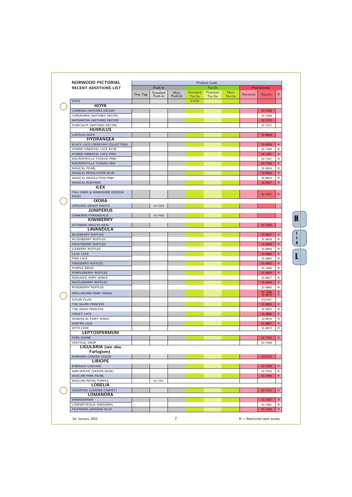| NORWOOD PICTORIAL                           |          |          |         |                 | Product Code |        |         |                    |                                           |
|---------------------------------------------|----------|----------|---------|-----------------|--------------|--------|---------|--------------------|-------------------------------------------|
| <b>RECENT ADDITIONS LIST</b>                |          | Push-In  |         |                 | Tie-On       |        |         | Promotional        |                                           |
|                                             | Tiny Tag | Standard | Maxi    | <b>Standard</b> | Premium      | Maxi   | Norwood | Royalty            | $\mathsf{R}$                              |
|                                             |          | Push-in  | Push-In | Tie-On          | Tie-On       | Tie-On |         |                    |                                           |
| <b>EXPO</b>                                 |          |          |         | 3-4730          |              |        |         |                    |                                           |
| <b>HOYA</b>                                 |          |          |         |                 |              |        |         |                    |                                           |
| CARNOSA (NATURES DECOR)                     |          |          |         |                 |              |        |         | 51-7268            |                                           |
| CORONARIA (NATURES DECOR)                   |          |          |         |                 |              |        |         | 51-7269            |                                           |
| MICRANTHA (NATURES DECOR)                   |          |          |         |                 |              |        |         | 51-7270            |                                           |
| PUBICALYX (NATURES DECOR)                   |          |          |         |                 |              |        |         | 51-7271            |                                           |
| <b>HUMULUS</b>                              |          |          |         |                 |              |        |         |                    |                                           |
| <b>LUPULUS HOPS</b>                         |          |          |         |                 |              |        |         | 31-0939            |                                           |
| <b>HYDRANGEA</b>                            |          |          |         |                 |              |        |         |                    |                                           |
| BLACK LACE (OBSIDIAN COLLECTION)            |          |          |         |                 |              |        |         | 31-0930            | $\mathsf{R}$                              |
| HYBRID ORIENTAL LACE BLUE                   |          |          |         |                 |              |        |         | 51-7200            | $\mathsf{R}$                              |
| HYBRID ORIENTAL LACE PINK                   |          |          |         |                 |              |        |         | 51-7201            | ${\sf R}$                                 |
| MACROPHYLLA TUXEDO PINK                     |          |          |         |                 |              |        |         | 51-7347            | ${\sf R}$                                 |
| MACROPHYLLA TUXEDO RED                      |          |          |         |                 |              |        |         | 51-7348            | ${\sf R}$                                 |
|                                             |          |          |         |                 |              |        |         | 31-0916            | ${\sf R}$                                 |
| MAGICAL PEARL                               |          |          |         |                 |              |        |         |                    |                                           |
| MAGICAL REVOLUTION BLUE                     |          |          |         |                 |              |        |         | 31-0915            | ${\sf R}$                                 |
| MAGICAL REVOLUTION PINK                     |          |          |         |                 |              |        |         | 31-0914            | R                                         |
| MAGICAL RUBYRED                             |          |          |         |                 |              |        |         | 31-0917            | $\mathsf{R}$                              |
| <b>ILEX</b>                                 |          |          |         |                 |              |        |         |                    |                                           |
| TALL DARK & HANDSOME (DESIGN                |          |          |         |                 |              |        |         | 51-7471            | $\mathsf{R}$                              |
| EDGE)                                       |          |          |         |                 |              |        |         |                    |                                           |
| <b>IXORA</b>                                |          |          |         |                 |              |        |         |                    |                                           |
| (SPECIES) GROUP PHOTO                       |          | 51-7224  |         |                 |              |        |         |                    |                                           |
| <b>JUNIPERUS</b>                            |          |          |         |                 |              |        |         |                    |                                           |
| <b>CHINENSIS PYRAMIDALIS</b>                |          | 51-7420  |         |                 |              |        |         |                    |                                           |
| <b>KIWIBERRY</b>                            |          |          |         |                 |              |        |         |                    |                                           |
| ACTINIDIA ARGUTA ISSAI                      |          |          |         |                 |              |        |         | 51-7185            |                                           |
| <b>LAVANDULA</b>                            |          |          |         |                 |              |        |         |                    |                                           |
| <b>BLUEBERRY RUFFLES</b>                    |          |          |         |                 |              |        |         | 31-0857            | $\mathsf{R}$                              |
| <b>BLUSHBERRY RUFFLES</b>                   |          |          |         |                 |              |        |         | 31-0838            | $\mathsf{R}$                              |
| <b>FROSTBERRY RUFFLES</b>                   |          |          |         |                 |              |        |         | 31-0839            | ${\sf R}$                                 |
| <b>ICEBERRY RUFFLES</b>                     |          |          |         |                 |              |        |         | 31-0840            | ${\sf R}$                                 |
| <b>LILAC LACE</b>                           |          |          |         |                 |              |        |         | 31-0864            | ${\sf R}$                                 |
| PINK LACE                                   |          |          |         |                 |              |        |         | 31-0865            | ${\sf R}$                                 |
| PINKBERRY RUFFLES                           |          |          |         |                 |              |        |         | 31-0841            | $\mathsf{R}$                              |
| PURPLE REIGN                                |          |          |         |                 |              |        |         | 51-7506            | ${\sf R}$                                 |
|                                             |          |          |         |                 |              |        |         |                    | ${\sf R}$                                 |
| PURPLEBERRY RUFFLES                         |          |          |         |                 |              |        |         | 31-0843            |                                           |
| RADIANCE FAIRY WINGS                        |          |          |         |                 |              |        |         | 31-0877            | R                                         |
| RAZZLEBERRY RUFFLES                         |          |          |         |                 |              |        |         | 31-0844            | $\mathsf{R}$                              |
| ROSEBERRY RUFFLES                           |          |          |         |                 |              |        |         | 31-0845            | ${\sf R}$                                 |
| SPELLBOUND FAIRY WINGS                      |          |          |         |                 |              |        |         | 51-7508<br>31-0876 | $\mathop{R}\limits^{\mathop{\mathsf{R}}}$ |
| <b>SUGAR PLUM</b>                           |          |          |         |                 |              |        |         | GV1197             |                                           |
| THE SILVER PRINCESS                         |          |          |         |                 |              |        |         | 31-0851            | ${\sf R}$                                 |
| THE SNOW PRINCESS                           |          |          |         |                 |              |        |         | 31-0852            | ${\sf R}$                                 |
| <b>VIOLET LACE</b>                          |          |          |         |                 |              |        |         | 31-0866            |                                           |
|                                             |          |          |         |                 |              |        |         |                    | ${\sf R}$                                 |
| WHIMSICAL FAIRY WINGS                       |          |          |         |                 |              |        |         | 31-0878            | ${\sf R}$                                 |
| <b>WINTER LACE</b>                          |          |          |         |                 |              |        |         | 31-0867            | $\mathsf{R}$                              |
| WITH LOVE                                   |          |          |         |                 |              |        |         | 31-0872            | R                                         |
| <b>LEPTOSPERMUM</b>                         |          |          |         |                 |              |        |         |                    |                                           |
| <b>FORE SHORE</b>                           |          |          |         |                 |              |        |         | 51-7312            | R                                         |
| <b>VERTICAL DROP</b>                        |          |          |         |                 |              |        |         | 51-7458            |                                           |
| LIGULARIA (see also                         |          |          |         |                 |              |        |         |                    |                                           |
| Farfugium)                                  |          |          |         |                 |              |        |         |                    |                                           |
| PANDORA GARDEN VOGUE                        |          |          |         |                 |              |        |         | GV1215             |                                           |
| <b>LIRIOPE</b>                              |          |          |         |                 |              |        |         |                    |                                           |
| <b>EMERALD CASCADE</b>                      |          |          |         |                 |              |        |         | 51-7369            | $\mathsf{R}$                              |
| MINI MAUVE (DESIGN EDGE)                    |          |          |         |                 |              |        |         | 51-7414            | R                                         |
| MUSCARI PINK PEARL                          |          |          |         |                 |              |        |         | 51-7495            | $\mathsf{R}$                              |
| MUSCARI ROYAL PURPLE                        |          | 51-7311  |         |                 |              |        |         |                    |                                           |
| <b>LOBELIA</b>                              |          |          |         |                 |              |        |         |                    |                                           |
|                                             |          |          |         |                 |              |        |         |                    | R                                         |
| ASSORTED (GARDEN CARPET)<br><b>LOMANDRA</b> |          |          |         |                 |              |        |         | 51-7121            |                                           |
|                                             |          |          |         |                 |              |        |         |                    |                                           |
| BANANARAMA                                  |          |          |         |                 |              |        |         | 51-7437            | $\mathsf{R}$                              |
| CONFERTIFOLIA WINGARRA                      |          |          |         |                 |              |        |         | 51-7381            | R                                         |
| FILIFORMIS SAVANNA BLUE                     |          |          |         |                 |              |        |         | 51-7323            | R                                         |

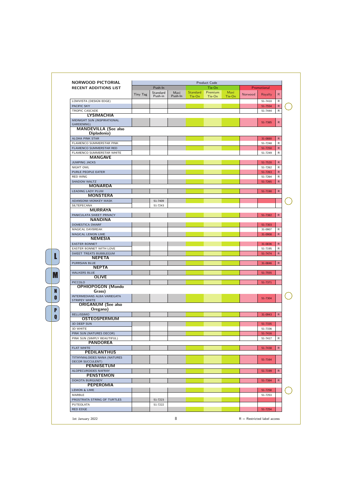| <b>NORWOOD PICTORIAL</b>                               |                 |                     |                 |          | <b>Product Code</b> |        |         |             |              |
|--------------------------------------------------------|-----------------|---------------------|-----------------|----------|---------------------|--------|---------|-------------|--------------|
| <b>RECENT ADDITIONS LIST</b>                           |                 | Push-In             |                 |          | Tie-On              |        |         | Promotional |              |
|                                                        | <b>Tiny Tag</b> | Standard<br>Push-in | Maxi<br>Push-In | Standard | Premium             | Maxi   | Norwood | Royalty     | $\mathsf{R}$ |
| LOWVISTA (DESIGN EDGE)                                 |                 |                     |                 | Tie-On   | Tie-On              | Tie-On |         | 51-7410     | R            |
| PACIFIC SKY                                            |                 |                     |                 |          |                     |        |         | 51-7554     | $\mathsf{R}$ |
| <b>TROPIC CASCADE</b>                                  |                 |                     |                 |          |                     |        |         | 51-7444     | $\mathsf{R}$ |
| <b>LYSIMACHIA</b>                                      |                 |                     |                 |          |                     |        |         |             |              |
| MIDNIGHT SUN (INSPIRATIONAL                            |                 |                     |                 |          |                     |        |         | 51-7385     | $\mathsf{R}$ |
| GARDENING)                                             |                 |                     |                 |          |                     |        |         |             |              |
| <b>MANDEVILLA (See also</b>                            |                 |                     |                 |          |                     |        |         |             |              |
| Dipladenia)<br><b>ALOHA PINK STAR</b>                  |                 |                     |                 |          |                     |        |         | 31-0880     | $\mathsf{R}$ |
| FLAMENCO SUMMERSTAR PINK                               |                 |                     |                 |          |                     |        |         | 51-7248     | R            |
| FLAMENCO SUMMERSTAR RED                                |                 |                     |                 |          |                     |        |         | 51-7250     | $\mathsf{R}$ |
| FLAMENCO SUMMERSTAR WHITE                              |                 |                     |                 |          |                     |        |         | 51-7249     | R            |
| <b>MANGAVE</b>                                         |                 |                     |                 |          |                     |        |         |             |              |
| <b>JUMPING JACKS</b>                                   |                 |                     |                 |          |                     |        |         | 51-7520     | $\mathsf{R}$ |
| <b>NIGHT OWL</b>                                       |                 |                     |                 |          |                     |        |         | 51-7262     | R            |
| PURLE PEOPLE EATER                                     |                 |                     |                 |          |                     |        |         | 51-7263     | $\mathsf{R}$ |
| <b>RED WING</b>                                        |                 |                     |                 |          |                     |        |         | 51-7264     | R            |
| <b>SHADOW WALTZ</b>                                    |                 |                     |                 |          |                     |        |         | 51-7265     | $\mathsf{R}$ |
| <b>MONARDA</b>                                         |                 |                     |                 |          |                     |        |         |             |              |
| <b>LEADING LADY PLUM</b><br><b>MONSTERA</b>            |                 |                     |                 |          |                     |        |         | 51-7190     | $\mathsf{R}$ |
| ADANSONII MONKEY MASK                                  |                 | 51-7409             |                 |          |                     |        |         |             |              |
| SILTEPECANA                                            |                 | 51-7243             |                 |          |                     |        |         |             |              |
| <b>MURRAYA</b>                                         |                 |                     |                 |          |                     |        |         |             |              |
| PANICULATA SWEET PRIVACY                               |                 |                     |                 |          |                     |        |         | 51-7382     | $\mathsf{R}$ |
| <b>NANDINA</b>                                         |                 |                     |                 |          |                     |        |         |             |              |
| DOMESTICA DWARF                                        |                 |                     |                 |          |                     |        |         | 51-7303     |              |
| MAGICAL DAYBREAK                                       |                 |                     |                 |          |                     |        |         | 31-0907     | R            |
| MAGICAL LEMON LIME                                     |                 |                     |                 |          |                     |        |         | 31-0908     | $\mathsf{R}$ |
| <b>NEMESIA</b>                                         |                 |                     |                 |          |                     |        |         |             |              |
| <b>EASTER BONNET</b>                                   |                 |                     |                 |          |                     |        |         | 31-0836     | $\mathsf{R}$ |
| EASTER BONNET WITH LOVE                                |                 |                     |                 |          |                     |        |         | 51-7195     | R            |
| SWEET TREATS BUBBLEGUM<br><b>NEPETA</b>                |                 |                     |                 |          |                     |        |         | 51-7474     | $\mathsf{R}$ |
| <b>PURRSIAN BLUE</b>                                   |                 |                     |                 |          |                     |        |         | 31-0846     | $\mathsf{R}$ |
| <b>NEPTA</b>                                           |                 |                     |                 |          |                     |        |         |             |              |
| <b>WALKERS BLUE</b>                                    |                 |                     |                 |          |                     |        |         | 51-7555     |              |
| <b>OLIVE</b>                                           |                 |                     |                 |          |                     |        |         |             |              |
| <b>PICCOLO</b>                                         |                 |                     |                 |          |                     |        |         | 51-7371     |              |
| <b>OPHIOPOGON (Mondo</b>                               |                 |                     |                 |          |                     |        |         |             |              |
| Grass)                                                 |                 |                     |                 |          |                     |        |         |             |              |
| INTERMEDIANS ALBA VARIEGATA                            |                 |                     |                 |          |                     |        |         | 51-7304     |              |
| <b>STRIPEY WHITE</b><br><b>ORIGANUM (See also</b>      |                 |                     |                 |          |                     |        |         |             |              |
| Oregana)                                               |                 |                     |                 |          |                     |        |         |             |              |
| <b>BELLISSIMO</b>                                      |                 |                     |                 |          |                     |        |         | 31-0943     | $\mathsf{R}$ |
| <b>OSTEOSPERMUM</b>                                    |                 |                     |                 |          |                     |        |         |             |              |
| 3D DEEP SUN                                            |                 |                     |                 |          |                     |        |         | 51-7335     |              |
| 3D WHITE                                               |                 |                     |                 |          |                     |        |         | 51-7336     |              |
| PINK SUN (NATURES DECOR)                               |                 |                     |                 |          |                     |        |         | 51-7416     |              |
| PINK SUN (SIMPLY BEAUTIFUL)                            |                 |                     |                 |          |                     |        |         | 51-7417     | R            |
| <b>PANDOREA</b>                                        |                 |                     |                 |          |                     |        |         |             |              |
| <b>FLAT WHITE</b>                                      |                 |                     |                 |          |                     |        |         | 51-7438     | $\mathsf{R}$ |
| <b>PEDILANTHUS</b>                                     |                 |                     |                 |          |                     |        |         |             |              |
| TITHYMALOIDES NANA (NATURES<br><b>DECOR SUCCULENT)</b> |                 |                     |                 |          |                     |        |         | 51-7164     |              |
| <b>PENNISETUM</b>                                      |                 |                     |                 |          |                     |        |         |             |              |
| ALOPECUROIDES NAFRAY                                   |                 |                     |                 |          |                     |        |         | 51-7199     | $\mathsf{R}$ |
| <b>PENSTEMON</b>                                       |                 |                     |                 |          |                     |        |         |             |              |
| DOKOTA BURGUNDY                                        |                 |                     |                 |          |                     |        |         | 51-7384     | $\mathsf{R}$ |
| <b>PEPEROMIA</b>                                       |                 |                     |                 |          |                     |        |         |             |              |
| <b>LEMON &amp; LIME</b>                                |                 |                     |                 |          |                     |        |         | 51-7258     |              |
| MARBLE                                                 |                 |                     |                 |          |                     |        |         | 51-7253     |              |
| PROSTRATA STRING OF TURTLES                            |                 | 51-7223             |                 |          |                     |        |         |             |              |
| PUTEOLATA                                              |                 | 51-7222             |                 |          |                     |        |         |             |              |
| <b>RED EDGE</b>                                        |                 |                     |                 |          |                     |        |         | 51-7254     |              |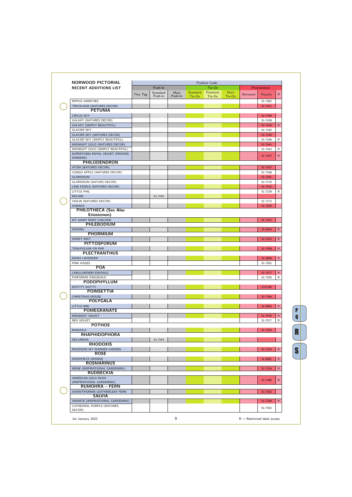| <b>NORWOOD PICTORIAL</b>                            |          |          |         |                 | Product Code |        |         |               |              |
|-----------------------------------------------------|----------|----------|---------|-----------------|--------------|--------|---------|---------------|--------------|
| <b>RECENT ADDITIONS LIST</b>                        |          | Push-In  |         |                 | Tie-On       |        |         | Promotional   |              |
|                                                     | Tiny Tag | Standard | Maxi    | <b>Standard</b> | Premium      | Maxi   | Norwood | Royalty       | $\mathsf{R}$ |
|                                                     |          | Push-in  | Push-In | Tie-On          | Tie-On       | Tie-On |         |               |              |
| <b>RIPPLE VARIETIES</b>                             |          |          |         |                 |              |        |         | 51-7362       |              |
| TRICOLOUR (NATURES DECOR)<br><b>PETUNIA</b>         |          |          |         |                 |              |        |         | 51-7421       |              |
| <b>CIRCUS SKY</b>                                   |          |          |         |                 |              |        |         | 51-7399       |              |
| <b>GALAXY (NATURES DECOR)</b>                       |          |          |         |                 |              |        |         | 51-7439       |              |
| <b>GALAXY (SIMPLY BEAUTIFUL)</b>                    |          |          |         |                 |              |        |         | 51-7440       | $\mathsf{R}$ |
| <b>GLACIER SKY</b>                                  |          |          |         |                 |              |        |         | 51-7182       |              |
| <b>GLACIER SKY (NATURES DECOR)</b>                  |          |          |         |                 |              |        |         | 51-7165       |              |
| <b>GLACIER SKY (SIMPLY BEAUTIFUL)</b>               |          |          |         |                 |              |        |         | 51-7166       | R            |
| MIDNIGHT GOLD (NATURES DECOR)                       |          |          |         |                 |              |        |         | 51-7441       |              |
| MIDNIGHT GOLD (SIMPLY BEAUTIFUL)                    |          |          |         |                 |              |        |         | 51-7442       | R            |
| SUPERTUNIA ROYAL VELVET (PROVEN                     |          |          |         |                 |              |        |         |               |              |
| WINNERS)                                            |          |          |         |                 |              |        |         | 51-7407       | $\mathsf{R}$ |
| <b>PHILODENDRON</b>                                 |          |          |         |                 |              |        |         |               |              |
| ATOM (NATURES DECOR)                                |          |          |         |                 |              |        |         | 51-7167       |              |
| CONGO APPLE (NATURES DECOR)                         |          |          |         |                 |              |        |         | 51-7168       |              |
| <b>GLORIOSUM</b>                                    |          |          |         |                 |              |        |         | 51-7261       |              |
| <b>GLORIOSUM (NATUES DECOR)</b>                     |          |          |         |                 |              |        |         | 51-7170       |              |
| LIME FIDDLE (NATURES DECOR)                         |          |          |         |                 |              |        |         | 51-7422       |              |
| LITTLE PHIL                                         |          |          |         |                 |              |        |         | 51-7239       | R            |
| <b>MICANS</b>                                       |          | 51-7245  |         |                 |              |        |         |               |              |
| VIOLIN (NATURES DECOR)                              |          |          |         |                 |              |        |         | 51-7172       |              |
| XANADU                                              |          |          |         |                 |              |        |         | 51-7305       |              |
| <b>PHILOTHECA (See Also</b>                         |          |          |         |                 |              |        |         |               |              |
| Eriostemon)                                         |          |          |         |                 |              |        |         |               |              |
| MT GIANT RUBY CASCADE<br><b>PHLEBODIUM</b>          |          |          |         |                 |              |        |         | 51-7241       |              |
|                                                     |          |          |         |                 |              |        |         |               | $\mathsf{R}$ |
| <b>DAVANA</b><br><b>PHORMIUM</b>                    |          |          |         |                 |              |        |         | 31-0945       |              |
| <b>SWEET MIST</b>                                   |          |          |         |                 |              |        |         | 51-7412       | $\mathsf{R}$ |
| <b>PITTOSPORUM</b>                                  |          |          |         |                 |              |        |         |               |              |
| <b>TENUFOLIUM ON PAR</b>                            |          |          |         |                 |              |        |         | 51-7498       | $\mathsf{R}$ |
| <b>PLECTRANTHUS</b>                                 |          |          |         |                 |              |        |         |               |              |
| <b>MONA LAVENDER</b>                                |          |          |         |                 |              |        |         | 31-0898       | ${\sf R}$    |
| <b>PINK KISSES</b>                                  |          |          |         |                 |              |        |         | 51-7501       |              |
| <b>POA</b>                                          |          |          |         |                 |              |        |         |               |              |
| <b>LABILLARDIERI ESKDALE</b>                        |          |          |         |                 |              |        |         | 51-7477       | R            |
| POIFORMIS KINGSDALE                                 |          |          |         |                 |              |        |         | 51-7295       | R            |
| PODOPHYLLUM                                         |          |          |         |                 |              |        |         |               |              |
| SPOTTY DOTTY                                        |          |          |         |                 |              |        |         | <b>GV1198</b> |              |
| <b>POINSETTIA</b>                                   |          |          |         |                 |              |        |         |               |              |
| <b>CHRISTMAS MOUSE</b>                              |          |          |         |                 |              |        |         | 51-7346       |              |
| <b>POLYGALA</b>                                     |          |          |         |                 |              |        |         |               |              |
| <b>LITTLE BIBI</b>                                  |          |          |         |                 |              |        |         | 31-0903       | $\mathsf{R}$ |
| <b>POMEGRANATE</b>                                  |          |          |         |                 |              |        |         |               |              |
| MIDNIGHT VELVET                                     |          |          |         |                 |              |        |         | 51-7578       | $\mathsf{R}$ |
| <b>RED VELVET</b>                                   |          |          |         |                 |              |        |         | 51-7577       | R            |
| <b>POTHOS</b>                                       |          |          |         |                 |              |        |         |               |              |
| <b>MANJULA</b>                                      |          |          |         |                 |              |        |         | 51-7255       |              |
| <b>RHAPHIDOPHORA</b>                                |          |          |         |                 |              |        |         |               |              |
| <b>DECURSIVA</b>                                    |          | 51-7244  |         |                 |              |        |         |               |              |
| <b>RHODOXIS</b>                                     |          |          |         |                 |              |        |         |               |              |
| RHODOXIS MY SUMMER GARDEN                           |          |          |         |                 |              |        |         | 51-7318       | $\mathsf{R}$ |
| <b>ROSE</b>                                         |          |          |         |                 |              |        |         |               |              |
| SHOWPIECE ORANGE<br><b>ROSMARINUS</b>               |          |          |         |                 |              |        |         | 31-0881       | $\mathsf{R}$ |
|                                                     |          |          |         |                 |              |        |         |               | $\mathsf{R}$ |
| IRENE (INSPIRATIONAL GARDENING)<br><b>RUDBECKIA</b> |          |          |         |                 |              |        |         | 51-7324       |              |
| AMERICAN GOLD RUSH                                  |          |          |         |                 |              |        |         |               |              |
| (INSPIRATIONAL GARDENING)                           |          |          |         |                 |              |        |         | 51-7496       | $\mathsf{R}$ |
| <b>RUMOHRA - FERN</b>                               |          |          |         |                 |              |        |         |               |              |
| ADIANTIFORMIS LEATHERLEAF FERN                      |          |          |         |                 |              |        |         | 51-7302       |              |
| <b>SALVIA</b>                                       |          |          |         |                 |              |        |         |               |              |
| AMANTE (INSPIRATIONAL GARDENING)                    |          |          |         |                 |              |        |         | 51-7189       | $\mathsf{R}$ |
| CATHEDRAL PURPLE (NATURES                           |          |          |         |                 |              |        |         |               |              |
| DECOR)                                              |          |          |         |                 |              |        |         | 51-7552       |              |

P<br>
C<br>
R PQ<br>**R**<br>S  $\overline{\mathbf{s}}$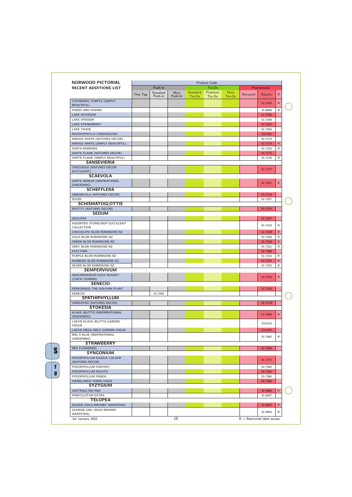| <b>NORWOOD PICTORIAL</b>                             |          |                     |                 |                           | <b>Product Code</b> |                |                               |               |              |
|------------------------------------------------------|----------|---------------------|-----------------|---------------------------|---------------------|----------------|-------------------------------|---------------|--------------|
| <b>RECENT ADDITIONS LIST</b>                         |          | Push-In             |                 |                           | Tie-On              |                |                               | Promotional   |              |
|                                                      | Tiny Tag | Standard<br>Push-in | Maxi<br>Push-In | <b>Standard</b><br>Tie-On | Premium<br>Tie-On   | Maxi<br>Tie-On | Norwood                       | Royalty       | R            |
| CATHEDRAL PURPLE (SIMPLY<br><b>BEAUTIFUL)</b>        |          |                     |                 |                           |                     |                |                               | 51-7553       | $\mathsf{R}$ |
| KISSES AND WISHES                                    |          |                     |                 |                           |                     |                |                               | 31-0896       | R            |
| <b>LAKE MCKENZIE</b>                                 |          |                     |                 |                           |                     |                |                               | 51-7205       |              |
| LAKE SPENSER                                         |          |                     |                 |                           |                     |                |                               | 51-7206       |              |
| <b>LAKE STRAWBERRY</b>                               |          |                     |                 |                           |                     |                |                               | 51-7207       |              |
| <b>LAKE TAHOE</b>                                    |          |                     |                 |                           |                     |                |                               | 51-7204       |              |
| MICROYPHYLLA CANDLEGLOW                              |          |                     |                 |                           |                     |                |                               | GV1201        |              |
| MIRAGE WHITE (NATURES DECOR)                         |          |                     |                 |                           |                     |                |                               | 51-7173       |              |
| MIRAGE WHITE (SIMPLY BEAUTIFUL)                      |          |                     |                 |                           |                     |                |                               | 51-7174       | R            |
| SANTA BARBARA                                        |          |                     |                 |                           |                     |                |                               | 51-7315       | R            |
| WHITE FLAME (NATURES DECOR)                          |          |                     |                 |                           |                     |                |                               | 51-7175       |              |
| WHITE FLAME (SIMPLY BEAUTIFUL)<br><b>SANSEVIERIA</b> |          |                     |                 |                           |                     |                |                               | 51-7176       | R            |
| <b>CROCODILE (NATURES DECOR</b><br>SUCCULENT)        |          |                     |                 |                           |                     |                |                               | 51-7177       |              |
| <b>SCAEVOLA</b>                                      |          |                     |                 |                           |                     |                |                               |               |              |
| WHITE RIBBON (INSPIRATIONAL<br>GARDENING)            |          |                     |                 |                           |                     |                |                               | 51-7557       | R.           |
| <b>SCHEFFLERA</b>                                    |          |                     |                 |                           |                     |                |                               |               |              |
| ARBORICOLA (NATURES DECOR)                           |          |                     |                 |                           |                     |                |                               | 51-7178       |              |
| SOLIEL                                               |          |                     |                 |                           |                     |                |                               | 51-7257       |              |
| <b>SCHISMATOGLOTTIS</b>                              |          |                     |                 |                           |                     |                |                               |               |              |
| SPOTTY (NATURES DECOR)                               |          |                     |                 |                           |                     |                |                               | 51-7275       |              |
| <b>SEDUM</b>                                         |          |                     |                 |                           |                     |                |                               |               |              |
| <b>ADOLPHII</b>                                      |          |                     |                 |                           |                     |                |                               | 51-7287       |              |
| ASSORTED STONECROP SUCCULENT<br>COLLECTION           |          |                     |                 |                           |                     |                |                               | 51-7123       | R            |
| CHOCOLATE BLOB ROBINSONS NZ                          |          |                     |                 |                           |                     |                |                               | 51-7329       | $\mathsf{R}$ |
| <b>GOLD BLOB ROBINSONS NZ</b>                        |          |                     |                 |                           |                     |                |                               | 51-7330       | R            |
| <b>GREEN BLOB ROBINSONS NZ</b>                       |          |                     |                 |                           |                     |                |                               | 51-7328       | $\mathsf{R}$ |
| <b>GREY BLOB ROBINSONS NZ</b>                        |          |                     |                 |                           |                     |                |                               | 51-7331       | R            |
| PATS PINK                                            |          |                     |                 |                           |                     |                |                               | 51-7288       |              |
| PURPLE BLOB ROBINSONS NZ                             |          |                     |                 |                           |                     |                |                               | 51-7332       | R            |
| RAINBOW BLOB ROBINSONS NZ                            |          |                     |                 |                           |                     |                |                               | 51-7334       | $\mathsf{R}$ |
| SILVER BLOB ROBINSONS NZ<br><b>SEMPERVIVUM</b>       |          |                     |                 |                           |                     |                |                               | 51-7333       | R            |
| ARACHNOIDEUM GOLD NUGGET                             |          |                     |                 |                           |                     |                |                               |               |              |
| (CHICK CHARMS)                                       |          |                     |                 |                           |                     |                |                               | 51-7310       | $\mathsf{R}$ |
| <b>SENECIO</b>                                       |          |                     |                 |                           |                     |                |                               |               |              |
| PEREGRINUS THE DOLPHIN PLANT                         |          |                     |                 |                           |                     |                |                               | 51-7193       |              |
| SENECIO                                              |          | 51-7455             |                 |                           |                     |                |                               |               |              |
| <b>SPATHIPHYLLUM</b>                                 |          |                     |                 |                           |                     |                |                               |               |              |
| VARIGATED (NATURES DECOR)                            |          |                     |                 |                           |                     |                |                               | 51-7179       |              |
| <b>STOKESIA</b>                                      |          |                     |                 |                           |                     |                |                               |               |              |
| KLAUS JELITTO (INSPRIRATIONAL<br>GRADENING)          |          |                     |                 |                           |                     |                |                               | 51-7464       | $\mathsf{R}$ |
| LAEVIS KLAUS JELITTO GARDEN<br>VOGUE                 |          |                     |                 |                           |                     |                |                               | GV1223        |              |
| LAEVIS MEGA MELS GARDEN VOGUE                        |          |                     |                 |                           |                     |                |                               | <b>GV1222</b> |              |
| MEL'S BLUE (INSPIRATIONAL                            |          |                     |                 |                           |                     |                |                               |               |              |
| GARDENING)                                           |          |                     |                 |                           |                     |                |                               | 51-7463       | R            |
| <b>STRAWBERRY</b>                                    |          |                     |                 |                           |                     |                |                               |               |              |
| <b>RED FLOWERING</b>                                 |          |                     |                 |                           |                     |                |                               | 51-7390       |              |
| <b>SYNGONIUM</b>                                     |          |                     |                 |                           |                     |                |                               |               |              |
| PODOPHYLLUM DAZZLE COLOUR<br>(NATURES DECOR)         |          |                     |                 |                           |                     |                |                               | 51-7272       |              |
| PODOPHYLLUM FANTASY                                  |          |                     |                 |                           |                     |                |                               | 51-7363       |              |
| PODOPHYLLUM MOJITO                                   |          |                     |                 |                           |                     |                |                               | 51-7364       |              |
| PODOPHYLLUM PANDA                                    |          |                     |                 |                           |                     |                |                               | 51-7365       |              |
| <b>WENDLANDII THREE KINGS</b><br><b>SYZYGIUM</b>     |          |                     |                 |                           |                     |                |                               | 51-7366       |              |
| <b>AUSTRALE BIG RED</b>                              |          |                     |                 |                           |                     |                |                               | 31-0906       | $\mathsf{R}$ |
| PANICULATUM EXTRA                                    |          |                     |                 |                           |                     |                |                               | 31-0837       |              |
| <b>TELOPEA</b>                                       |          |                     |                 |                           |                     |                |                               |               |              |
| DIGGER (WILD BRUMBY WARATAHS)                        |          |                     |                 |                           |                     |                |                               | 31-0853       | $\mathsf{R}$ |
| <b>GEORGIE GIRL (WILD BRUMBY</b>                     |          |                     |                 |                           |                     |                |                               | 31-0854       | R            |
| WARATAHS)                                            |          |                     |                 |                           |                     |                |                               |               |              |
| 1st January 2022                                     |          |                     | 10              |                           |                     |                | $R =$ Restricted label access |               |              |

 $\frac{1}{\sqrt{1}}$ S<br>T<br>U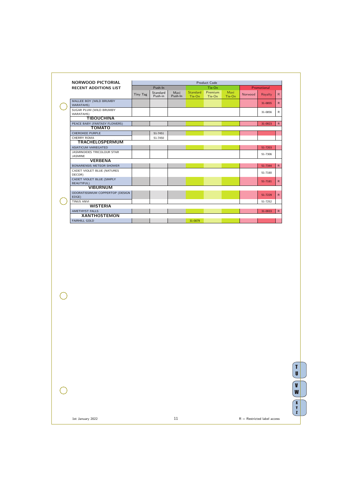| NORWOOD PICTORIAL                              |          |                     |                 |                           | <b>Product Code</b> |                |         |             |              |
|------------------------------------------------|----------|---------------------|-----------------|---------------------------|---------------------|----------------|---------|-------------|--------------|
| <b>RECENT ADDITIONS LIST</b>                   |          | Push-In             |                 |                           | Tie-On              |                |         | Promotional |              |
|                                                | Tiny Tag | Standard<br>Push-in | Maxi<br>Push-In | <b>Standard</b><br>Tie-On | Premium<br>Tie-On   | Maxi<br>Tie-On | Norwood | Royalty     | $\mathsf{R}$ |
| MALLEE BOY (WILD BRUMBY<br><b>WARATAHS)</b>    |          |                     |                 |                           |                     |                |         | 31-0855     | $\mathsf{R}$ |
| SUGAR PLUM (WILD BRUMBY<br><b>WARATAHS)</b>    |          |                     |                 |                           |                     |                |         | 31-0856     | $\mathsf{R}$ |
| <b>TIBOUCHINA</b>                              |          |                     |                 |                           |                     |                |         |             |              |
| PEACE BABY (FANTASY FLOWERS)                   |          |                     |                 |                           |                     |                |         | 31-0923     | ${\sf R}$    |
| <b>TOMATO</b>                                  |          |                     |                 |                           |                     |                |         |             |              |
| <b>CHEROKEE PURPLE</b>                         |          | 51-7451             |                 |                           |                     |                |         |             |              |
| <b>CHERRY ROMA</b>                             |          | 51-7450             |                 |                           |                     |                |         |             |              |
| <b>TRACHELOSPERMUM</b>                         |          |                     |                 |                           |                     |                |         |             |              |
| <b>ASIATICUM VARIEGATED</b>                    |          |                     |                 |                           |                     |                |         | 51-7203     |              |
| JASMINOIDES TRICOLOUR STAR<br><b>JASMINE</b>   |          |                     |                 |                           |                     |                |         | 51-7306     |              |
| <b>VERBENA</b>                                 |          |                     |                 |                           |                     |                |         |             |              |
| <b>BONARIENSIS METEOR SHOWER</b>               |          |                     |                 |                           |                     |                |         | 51-7344     | $\mathsf{R}$ |
| CADET VIOLET BLUE (NATURES<br>DECOR)           |          |                     |                 |                           |                     |                |         | 51-7180     |              |
| CADET VIOLET BLUE (SIMPLY<br><b>BEAUTIFUL)</b> |          |                     |                 |                           |                     |                |         | 51-7181     | $\mathsf{R}$ |
| <b>VIBURNUM</b>                                |          |                     |                 |                           |                     |                |         |             |              |
| ODORATISSIMUM COPPERTOP (DESIGN<br>EDGE)       |          |                     |                 |                           |                     |                |         | 51-7229     | R            |
| <b>TINUS ANVI</b>                              |          |                     |                 |                           |                     |                |         | 51-7252     |              |
| <b>WISTERIA</b>                                |          |                     |                 |                           |                     |                |         |             |              |
| <b>AMETHYST FALLS</b>                          |          |                     |                 |                           |                     |                |         | 31-0933     | $\mathsf{R}$ |
| <b>XANTHOSTEMON</b>                            |          |                     |                 |                           |                     |                |         |             |              |
| <b>FAIRHILL GOLD</b>                           |          |                     |                 | 31-0879                   |                     |                |         |             |              |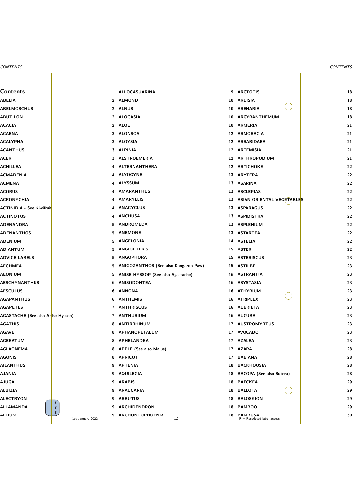|                                  | ALLOCASUARINA                          | 9 ARCTOTIS                                            |
|----------------------------------|----------------------------------------|-------------------------------------------------------|
|                                  | 2 ALMOND                               | 10 ARDISIA                                            |
|                                  | 2 ALNUS                                | 10 ARENARIA                                           |
|                                  | 2 ALOCASIA                             | 10 ARGYRANTHEMUM                                      |
|                                  | 2 ALOE                                 | 10 ARMERIA                                            |
|                                  | 3 ALONSOA                              | 12 ARMORACIA                                          |
|                                  | 3 ALOYSIA                              | 12 ARRABIDAEA                                         |
|                                  | 3 ALPINIA                              | 12 ARTEMISIA                                          |
|                                  | 3 ALSTROEMERIA                         | 12 ARTHROPODIUM                                       |
|                                  | 4 ALTERNANTHERA                        | 12 ARTICHOKE                                          |
|                                  | 4 ALYOGYNE                             | 13 ARYTERA                                            |
|                                  | 4 ALYSSUM                              | 13 ASARINA                                            |
|                                  | 4 AMARANTHUS                           | 13 ASCLEPIAS                                          |
|                                  | 4 AMARYLLIS                            | 13 ASIAN ORIENTAL VEGETABLE                           |
|                                  | 4 ANACYCLUS                            | 13 ASPARAGUS                                          |
|                                  | 4 ANCHUSA                              | 13 ASPIDISTRA                                         |
|                                  | 5 ANDROMEDA                            | 13 ASPLENIUM                                          |
|                                  | 5 ANEMONE                              | 13 ASTARTEA                                           |
|                                  | 5 ANGELONIA                            | 14 ASTELIA                                            |
|                                  | 5 ANGIOPTERIS                          | 15 ASTER                                              |
|                                  | 5 ANGOPHORA                            | 15 ASTERISCUS                                         |
|                                  | 5 ANIGOZANTHOS (See also Kangaroo Paw) | 15 ASTILBE                                            |
|                                  | 5 ANISE HYSSOP (See also Agastache)    | 16 ASTRANTIA                                          |
|                                  | 6 ANISODONTEA                          | 16 ASYSTASIA                                          |
|                                  | 6 ANNONA                               | <b>ATHYRIUM</b><br>16                                 |
|                                  | 6 ANTHEMIS                             | 16 ATRIPLEX                                           |
|                                  | 7 ANTHRISCUS                           | 16 AUBRIETA                                           |
| ise Hyssop)                      | 7 ANTHURIUM                            | 16 AUCUBA                                             |
|                                  | <b>ANTIRRHINUM</b><br>8                | <b>AUSTROMYRTUS</b><br>17                             |
|                                  | 8 APHANOPETALUM                        | <b>AVOCADO</b><br>17                                  |
|                                  | 8 APHELANDRA                           | <b>AZALEA</b><br>17                                   |
|                                  | 8 APPLE (See also Malus)               | <b>AZARA</b><br>17                                    |
|                                  | 8 APRICOT                              | <b>BABIANA</b><br>17                                  |
|                                  | 9 APTENIA                              | <b>BACKHOUSIA</b><br>18                               |
|                                  | 9 AQUILEGIA                            | <b>BACOPA</b> (See also Sutera)<br>18                 |
|                                  | 9 ARABIS                               | <b>BAECKEA</b><br>18                                  |
|                                  | 9 ARAUCARIA                            | <b>BALLOTA</b><br>18                                  |
|                                  | <b>ARBUTUS</b><br>9                    | <b>BALOSKION</b><br>18                                |
| $\pmb{\mathbb{X}}$<br>Y          | <b>ARCHIDENDRON</b><br>9               | <b>BAMBOO</b><br>18                                   |
| $\mathbf{z}$<br>1st January 2022 | <b>ARCHONTOPHOENIX</b><br>9<br>12      | <b>BAMBUSA</b><br>18<br>$R =$ Restricted label access |
|                                  |                                        |                                                       |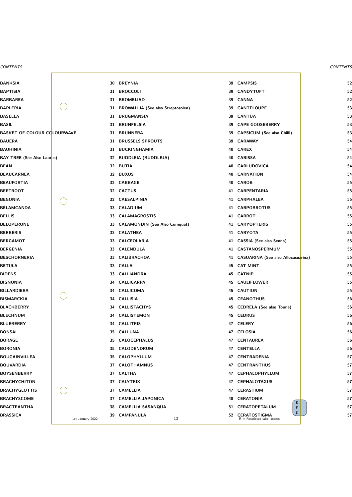|                  | 30              | <b>BREYNIA</b>                           | 39 | <b>CAMPSIS</b>                                                       |
|------------------|-----------------|------------------------------------------|----|----------------------------------------------------------------------|
|                  | 31              | <b>BROCCOLI</b>                          | 39 | <b>CANDYTUFT</b>                                                     |
|                  | 31              | <b>BROMELIAD</b>                         | 39 | <b>CANNA</b>                                                         |
|                  | 31              | <b>BROWALLIA (See also Streptosolen)</b> | 39 | <b>CANTELOUPE</b>                                                    |
|                  | 31              | <b>BRUGMANSIA</b>                        | 39 | <b>CANTUA</b>                                                        |
|                  | 31              | <b>BRUNFELSIA</b>                        | 39 | <b>CAPE GOOSEBERRY</b>                                               |
| <b>LOURWAVE</b>  | 31              | <b>BRUNNERA</b>                          | 39 | <b>CAPSICUM (See also Chilli)</b>                                    |
|                  | 31              | <b>BRUSSELS SPROUTS</b>                  | 39 | <b>CARAWAY</b>                                                       |
|                  | 31              | <b>BUCKINGHAMIA</b>                      | 40 | <b>CAREX</b>                                                         |
| µs)              | 32              | <b>BUDDLEIA (BUDDLEJA)</b>               | 40 | <b>CARISSA</b>                                                       |
|                  | 32              | <b>BUTIA</b>                             | 40 | <b>CARLUDOVICA</b>                                                   |
|                  | 32              | <b>BUXUS</b>                             | 40 | <b>CARNATION</b>                                                     |
|                  | 32 <sub>2</sub> | <b>CABBAGE</b>                           | 40 | <b>CAROB</b>                                                         |
|                  | 32 <sub>2</sub> | <b>CACTUS</b>                            | 41 | <b>CARPENTARIA</b>                                                   |
|                  | 32              | <b>CAESALPINIA</b>                       | 41 | <b>CARPHALEA</b>                                                     |
|                  | 33              | <b>CALADIUM</b>                          | 41 | <b>CARPOBROTUS</b>                                                   |
|                  | 33              | <b>CALAMAGROSTIS</b>                     | 41 | <b>CARROT</b>                                                        |
|                  | 33              | <b>CALAMONDIN (See Also Cumquat)</b>     | 41 | <b>CARYOPTERIS</b>                                                   |
|                  | 33              | <b>CALATHEA</b>                          | 41 | <b>CARYOTA</b>                                                       |
|                  | 33              | <b>CALCEOLARIA</b>                       | 41 | <b>CASSIA (See also Senna)</b>                                       |
|                  | 33              | <b>CALENDULA</b>                         | 41 | CASTANOSPERMUM                                                       |
|                  | 33              | <b>CALIBRACHOA</b>                       |    | 41 CASUARINA (See also Allocasu                                      |
|                  |                 | 33 CALLA                                 | 45 | <b>CAT MINT</b>                                                      |
|                  | 33              | <b>CALLIANDRA</b>                        | 45 | <b>CATNIP</b>                                                        |
|                  | 34              | <b>CALLICARPA</b>                        | 45 | <b>CAULIFLOWER</b>                                                   |
|                  |                 | 34 CALLICOMA                             | 45 | <b>CAUTION</b>                                                       |
|                  | 34              | <b>CALLISIA</b>                          | 45 | <b>CEANOTHUS</b>                                                     |
|                  | 34              | <b>CALLISTACHYS</b>                      | 45 | <b>CEDRELA (See also Toona)</b>                                      |
|                  |                 | <b>34 CALLISTEMON</b>                    | 45 | <b>CEDRUS</b>                                                        |
|                  |                 | 34 CALLITRIS                             | 47 | <b>CELERY</b>                                                        |
|                  | 35              | <b>CALLUNA</b>                           | 47 | <b>CELOSIA</b>                                                       |
|                  | 35              | CALOCEPHALUS                             | 47 | <b>CENTAUREA</b>                                                     |
|                  | 35              | CALODENDRUM                              | 47 | <b>CENTELLA</b>                                                      |
|                  | 35              | CALOPHYLLUM                              | 47 | <b>CENTRADENIA</b>                                                   |
|                  | 37              | <b>CALOTHAMNUS</b>                       | 47 | <b>CENTRANTHUS</b>                                                   |
|                  |                 | 37 CALTHA                                | 47 | CEPHALOPHYLLUM                                                       |
|                  | 37              | <b>CALYTRIX</b>                          | 47 | <b>CEPHALOTAXUS</b>                                                  |
|                  | 37              | <b>CAMELLIA</b>                          | 47 | <b>CERASTIUM</b>                                                     |
|                  | 37              | <b>CAMELLIA JAPONICA</b>                 | 48 | <b>CERATONIA</b>                                                     |
|                  | 38              | <b>CAMELLIA SASANQUA</b>                 | 51 | $\mathbf{x}$<br>CERATOPETALUM<br>Y                                   |
| 1st January 2022 | 39              | <b>CAMPANULA</b><br>13                   | 52 | $\mathbf{z}$<br><b>CERATOSTIGMA</b><br>$R =$ Restricted label access |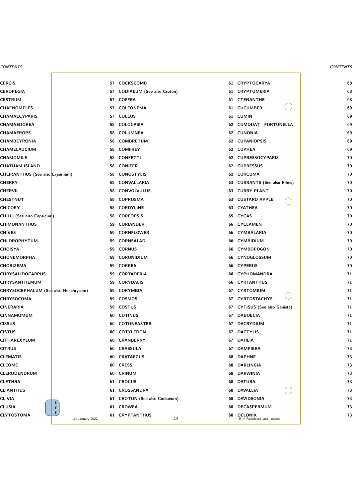|                        | 57 | <b>COCKSCOMB</b>                  | 61 | <b>CRYPTOCARYA</b>                              |
|------------------------|----|-----------------------------------|----|-------------------------------------------------|
|                        | 57 | <b>CODIAEUM (See also Croton)</b> | 61 | <b>CRYPTOMERIA</b>                              |
|                        |    | 57 COFFEA                         |    | <b>61 CTENANTHE</b>                             |
|                        | 57 | <b>COLEONEMA</b>                  | 61 | <b>CUCUMBER</b>                                 |
|                        | 57 | <b>COLEUS</b>                     | 61 | <b>CUMIN</b>                                    |
|                        |    | 58 COLOCASIA                      |    | 62 CUMQUAT - FORTUNELLA                         |
|                        |    | 58 COLUMNEA                       | 62 | <b>CUNONIA</b>                                  |
|                        | 58 | <b>COMBRETUM</b>                  | 62 | <b>CUPANIOPSIS</b>                              |
|                        | 58 | <b>COMFREY</b>                    |    | 62 CUPHEA                                       |
|                        | 58 | <b>CONFETTI</b>                   |    | 62 CUPRESSOCYPARIS                              |
|                        | 58 | <b>CONIFER</b>                    | 62 | <b>CUPRESSUS</b>                                |
| Erysimum)              | 58 | <b>CONOSTYLIS</b>                 | 62 | <b>CURCUMA</b>                                  |
|                        | 58 | <b>CONVALLARIA</b>                | 63 | <b>CURRANTS (See also Ribes)</b>                |
|                        | 58 | <b>CONVOLVULUS</b>                | 63 | <b>CURRY PLANT</b>                              |
|                        | 58 | <b>COPROSMA</b>                   | 63 | <b>CUSTARD APPLE</b>                            |
|                        | 58 | <b>CORDYLINE</b>                  |    | 63 CYATHEA                                      |
|                        | 58 | <b>COREOPSIS</b>                  | 65 | <b>CYCAS</b>                                    |
|                        | 59 | <b>CORIANDER</b>                  |    | <b>66 CYCLAMEN</b>                              |
|                        | 59 | <b>CORNFLOWER</b>                 |    | 66 CYMBALARIA                                   |
|                        | 59 | <b>CORNSALAD</b>                  | 66 | <b>CYMBIDIUM</b>                                |
|                        | 59 | <b>CORNUS</b>                     | 66 | <b>CYMBOPOGON</b>                               |
|                        | 59 | <b>CORONIDIUM</b>                 | 66 | CYNOGLOSSUM                                     |
|                        |    | 59 CORREA                         | 66 | <b>CYPERUS</b>                                  |
|                        | 59 | <b>CORTADERIA</b>                 | 66 | <b>CYPHOMANDRA</b>                              |
|                        | 59 | <b>CORYDALIS</b>                  | 66 | <b>CYRTANTHUS</b>                               |
| also Helichrysum)      | 59 | <b>CORYMBIA</b>                   | 67 | <b>CYRTOMIUM</b>                                |
|                        | 59 | <b>COSMOS</b>                     | 67 | <b>CYRTOSTACHYS</b>                             |
|                        | 59 | <b>COSTUS</b>                     | 67 | <b>CYTISUS (See also Genista)</b>               |
|                        |    | 60 COTINUS                        | 67 | <b>DABOECIA</b>                                 |
|                        | 60 | <b>COTONEASTER</b>                | 67 | <b>DACRYDIUM</b>                                |
|                        |    | 60 COTYLEDON                      | 67 | <b>DACTYLIS</b>                                 |
|                        | 60 | <b>CRANBERRY</b>                  | 67 | <b>DAHLIA</b>                                   |
|                        | 60 | <b>CRASSULA</b>                   | 67 | <b>DAMPIERA</b>                                 |
|                        | 60 | <b>CRATAEGUS</b>                  | 68 | <b>DAPHNE</b>                                   |
|                        |    | 60 CRESS                          | 68 | <b>DARLINGIA</b>                                |
|                        | 60 | <b>CRINUM</b>                     | 68 | <b>DARWINIA</b>                                 |
|                        |    | 61 CROCUS                         | 68 | <b>DATURA</b>                                   |
|                        | 61 | <b>CROSSANDRA</b>                 | 68 | <b>DAVALLIA</b>                                 |
| $\pmb{\mathbb{X}}$     | 61 | <b>CROTON (See also Codiaeum)</b> | 68 | <b>DAVIDSONIA</b>                               |
| Y                      | 61 | <b>CROWEA</b>                     | 68 | DECASPERMUM                                     |
| Z,<br>1st January 2022 | 61 | <b>CRYPTANTHUS</b><br>14          | 68 | <b>DELONIX</b><br>$R =$ Restricted label access |
|                        |    |                                   |    |                                                 |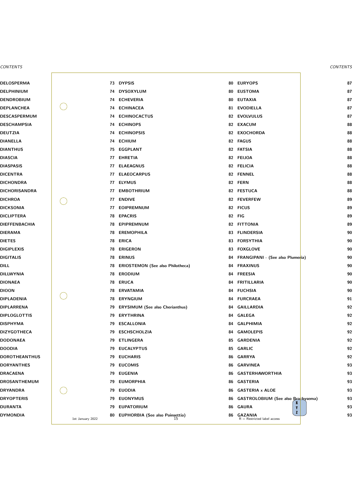|                  |    | 73 DYPSIS                                    |    | 80 EURYOPS                                      |
|------------------|----|----------------------------------------------|----|-------------------------------------------------|
|                  |    | 74 DYSOXYLUM                                 | 80 | <b>EUSTOMA</b>                                  |
|                  |    | 74 ECHEVERIA                                 |    | 80 EUTAXIA                                      |
|                  |    | 74 ECHINACEA                                 |    | 81 EVODIELLA                                    |
|                  |    | 74 ECHINOCACTUS                              |    | 82 EVOLVULUS                                    |
|                  |    | 74 ECHINOPS                                  |    | 82 EXACUM                                       |
|                  |    | <b>74 ECHINOPSIS</b>                         |    | 82 EXOCHORDA                                    |
|                  |    | 74 ECHIUM                                    |    | 82 FAGUS                                        |
|                  |    | 75 EGGPLANT                                  |    | 82 FATSIA                                       |
|                  | 77 | <b>EHRETIA</b>                               |    | 82 FEIJOA                                       |
|                  |    | 77 ELAEAGNUS                                 |    | 82 FELICIA                                      |
|                  |    | 77 ELAEOCARPUS                               |    | 82 FENNEL                                       |
|                  |    | 77 ELYMUS                                    |    | 82 FERN                                         |
|                  |    | 77 EMBOTHRIUM                                |    | 82 FESTUCA                                      |
|                  | 77 | <b>ENDIVE</b>                                |    | 82 FEVERFEW                                     |
|                  | 77 | <b>EOIPREMNUM</b>                            |    | 82 FICUS                                        |
|                  |    | <b>78 EPACRIS</b>                            |    | 82 FIG                                          |
|                  | 78 | <b>EPIPREMNUM</b>                            |    | 82 FITTONIA                                     |
|                  | 78 | <b>EREMOPHILA</b>                            |    | 83 FLINDERSIA                                   |
|                  | 78 | <b>ERICA</b>                                 |    | 83 FORSYTHIA                                    |
|                  | 78 | <b>ERIGERON</b>                              |    | 83 FOXGLOVE                                     |
|                  | 78 | <b>ERINUS</b>                                |    | 84 FRANGIPANI - (See also Plume                 |
|                  |    | 78 ERIOSTEMON (See also Philotheca)          | 84 | <b>FRAXINUS</b>                                 |
|                  | 78 | <b>ERODIUM</b>                               | 84 | <b>FREESIA</b>                                  |
|                  | 78 | <b>ERUCA</b>                                 | 84 | <b>FRITILLARIA</b>                              |
|                  | 78 | <b>ERVATAMIA</b>                             | 84 | <b>FUCHSIA</b>                                  |
|                  | 78 | <b>ERYNGIUM</b>                              | 84 | <b>FURCRAEA</b>                                 |
|                  | 79 | <b>ERYSIMUM (See also Cherianthus)</b>       | 84 | <b>GAILLARDIA</b>                               |
|                  | 79 | <b>ERYTHRINA</b>                             | 84 | <b>GALEGA</b>                                   |
|                  | 79 | <b>ESCALLONIA</b>                            | 84 | <b>GALPHIMIA</b>                                |
|                  | 79 | <b>ESCHSCHOLZIA</b>                          | 84 | <b>GAMOLEPIS</b>                                |
|                  | 79 | <b>ETLINGERA</b>                             | 85 | <b>GARDENIA</b>                                 |
|                  | 79 | <b>EUCALYPTUS</b>                            | 85 | <b>GARLIC</b>                                   |
|                  | 79 | <b>EUCHARIS</b>                              | 86 | <b>GARRYA</b>                                   |
|                  | 79 | <b>EUCOMIS</b>                               | 86 | <b>GARVINEA</b>                                 |
|                  | 79 | <b>EUGENIA</b>                               | 86 | <b>GASTERHAWORTHIA</b>                          |
|                  | 79 | <b>EUMORPHIA</b>                             | 86 | <b>GASTERIA</b>                                 |
|                  | 79 | <b>EUODIA</b>                                | 86 | <b>GASTERIA x ALOE</b>                          |
|                  | 79 | <b>EUONYMUS</b>                              | 86 | <b>GASTROLOBIUM (See also Bra</b><br>X          |
|                  | 79 | <b>EUPATORIUM</b>                            | 86 | <b>GAURA</b><br>Y<br>$\mathbf{z}$               |
| 1st January 2022 | 80 | <b>EUPHORBIA (See also Poinsettia)</b><br>15 | 86 | <b>GAZANIA</b><br>$R =$ Restricted label access |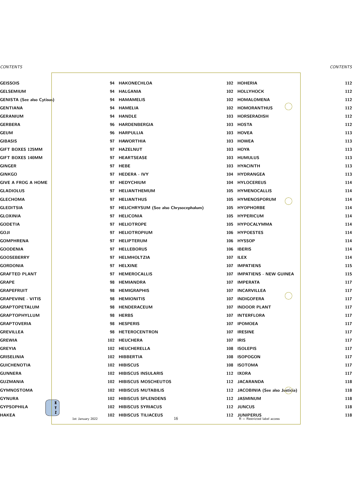|                                  | 94  | <b>HAKONECHLOA</b>                    | 102 | <b>HOHERIA</b>                                 |
|----------------------------------|-----|---------------------------------------|-----|------------------------------------------------|
|                                  | 94  | <b>HALGANIA</b>                       | 102 | HOLLYHOCK                                      |
| b)                               | 94  | <b>HAMAMELIS</b>                      | 102 | HOMALOMENA                                     |
|                                  | 94  | <b>HAMELIA</b>                        | 102 | <b>HOMORANTHUS</b>                             |
|                                  | 94  | <b>HANDLE</b>                         | 103 | <b>HORSERADISH</b>                             |
|                                  | 96  | <b>HARDENBERGIA</b>                   | 103 | <b>HOSTA</b>                                   |
|                                  | 96  | <b>HARPULLIA</b>                      |     | 103 HOVEA                                      |
|                                  | 97  | <b>HAWORTHIA</b>                      | 103 | <b>HOWEA</b>                                   |
|                                  | 97  | <b>HAZELNUT</b>                       | 103 | <b>HOYA</b>                                    |
|                                  | 97  | <b>HEARTSEASE</b>                     | 103 | <b>HUMULUS</b>                                 |
|                                  | 97  | <b>HEBE</b>                           | 103 | <b>HYACINTH</b>                                |
|                                  | 97  | <b>HEDERA - IVY</b>                   | 104 | <b>HYDRANGEA</b>                               |
|                                  | 97  | <b>HEDYCHIUM</b>                      | 104 | <b>HYLOCEREUS</b>                              |
|                                  | 97  | HELIANTHEMUM                          | 105 | <b>HYMENOCALLIS</b>                            |
|                                  | 97  | <b>HELIANTHUS</b>                     | 105 | HYMENOSPORUM                                   |
|                                  | 97  | HELICHRYSUM (See also Chrysocephalum) | 105 | <b>HYOPHORBE</b>                               |
|                                  | 97  | <b>HELICONIA</b>                      | 105 | <b>HYPERICUM</b>                               |
|                                  | 97  | <b>HELIOTROPE</b>                     | 105 | HYPOCALYMMA                                    |
|                                  | 97  | <b>HELIOTROPIUM</b>                   | 106 | <b>HYPOESTES</b>                               |
|                                  | 97  | <b>HELIPTERUM</b>                     | 106 | <b>HYSSOP</b>                                  |
|                                  | 97  | <b>HELLEBORUS</b>                     | 106 | <b>IBERIS</b>                                  |
|                                  | 97  | <b>HELMHOLTZIA</b>                    | 107 | <b>ILEX</b>                                    |
|                                  |     | 97 HELXINE                            | 107 | <b>IMPATIENS</b>                               |
|                                  | 97  | <b>HEMEROCALLIS</b>                   | 107 | <b>IMPATIENS - NEW GUINEA</b>                  |
|                                  | 98  | <b>HEMIANDRA</b>                      | 107 | <b>IMPERATA</b>                                |
|                                  | 98  | <b>HEMIGRAPHIS</b>                    | 107 | <b>INCARVILLEA</b>                             |
|                                  | 98  | <b>HEMIONITIS</b>                     | 107 | <b>INDIGOFERA</b>                              |
|                                  | 98  | HENDERACEUM                           | 107 | <b>INDOOR PLANT</b>                            |
|                                  | 98  | <b>HERBS</b>                          | 107 | <b>INTERFLORA</b>                              |
|                                  | 98  | <b>HESPERIS</b>                       | 107 | <b>IPOMOEA</b>                                 |
|                                  | 98  | <b>HETEROCENTRON</b>                  | 107 | <b>IRESINE</b>                                 |
|                                  |     | 102 HEUCHERA                          | 107 | <b>IRIS</b>                                    |
|                                  |     | 102 HEUCHERELLA                       | 108 | <b>ISOLEPIS</b>                                |
|                                  | 102 | <b>HIBBERTIA</b>                      | 108 | <b>ISOPOGON</b>                                |
|                                  |     | 102 HIBISCUS                          | 108 | <b>ISOTOMA</b>                                 |
|                                  | 102 | <b>HIBISCUS INSULARIS</b>             | 112 | <b>IXORA</b>                                   |
|                                  | 102 | <b>HIBISCUS MOSCHEUTOS</b>            | 112 | <b>JACARANDA</b>                               |
|                                  |     | 102 HIBISCUS MUTABILIS                | 112 | JACOBINIA (See also Justicia)                  |
|                                  | 102 | <b>HIBISCUS SPLENDENS</b>             | 112 | <b>JASMINUM</b>                                |
| $\pmb{\mathsf{X}}$<br>Y          | 102 | <b>HIBISCUS SYRIACUS</b>              |     | 112 JUNCUS                                     |
| $\mathbf{z}$<br>1st January 2022 |     | 102 HIBISCUS TILIACEUS<br>16          |     | 112 JUNIPERUS<br>$R =$ Restricted label access |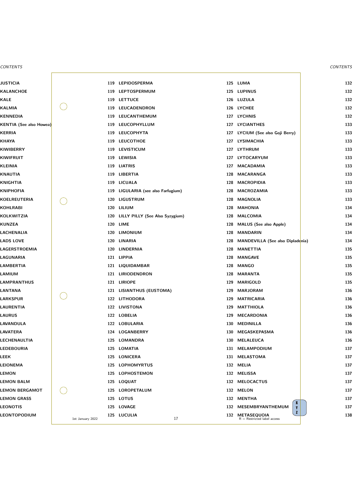|                  | 119 | <b>LEPIDOSPERMA</b>                 | 125 | <b>LUMA</b>                                         |
|------------------|-----|-------------------------------------|-----|-----------------------------------------------------|
|                  |     | 119 LEPTOSPERMUM                    |     | 125 LUPINUS                                         |
|                  | 119 | <b>LETTUCE</b>                      |     | 126 LUZULA                                          |
|                  | 119 | LEUCADENDRON                        |     | 126 LYCHEE                                          |
|                  | 119 | LEUCANTHEMUM                        | 127 | <b>LYCHNIS</b>                                      |
|                  | 119 | LEUCOPHYLLUM                        | 127 | <b>LYCIANTHES</b>                                   |
|                  | 119 | <b>LEUCOPHYTA</b>                   | 127 | LYCIUM (See also Goji Berry)                        |
|                  | 119 | <b>LEUCOTHOE</b>                    | 127 | <b>LYSIMACHIA</b>                                   |
|                  | 119 | <b>LEVISTICUM</b>                   | 127 | <b>LYTHRUM</b>                                      |
|                  | 119 | <b>LEWISIA</b>                      | 127 | LYTOCARYUM                                          |
|                  |     | 119 LIATRIS                         | 127 | <b>MACADAMIA</b>                                    |
|                  |     | 119 LIBERTIA                        | 128 | <b>MACARANGA</b>                                    |
|                  | 119 | <b>LICUALA</b>                      | 128 | <b>MACROPIDIA</b>                                   |
|                  |     | 119 LIGULARIA (see also Farfugium)  | 128 | <b>MACROZAMIA</b>                                   |
|                  | 120 | LIGUSTRUM                           | 128 | <b>MAGNOLIA</b>                                     |
|                  | 120 | LILIUM                              | 128 | <b>MAHONIA</b>                                      |
|                  |     | 120 LILLY PILLY (See Also Syzygium) | 128 | <b>MALCOMIA</b>                                     |
|                  |     | 120 LIME                            | 128 | <b>MALUS (See also Apple)</b>                       |
|                  | 120 | <b>LIMONIUM</b>                     | 128 | <b>MANDARIN</b>                                     |
|                  | 120 | LINARIA                             | 128 | <b>MANDEVILLA (See also Diplade</b>                 |
|                  | 120 | <b>LINDERNIA</b>                    | 128 | <b>MANETTIA</b>                                     |
|                  | 121 | <b>LIPPIA</b>                       | 128 | <b>MANGAVE</b>                                      |
|                  |     | 121 LIQUIDAMBAR                     |     | 128 MANGO                                           |
|                  |     | 121 LIRIODENDRON                    | 128 | <b>MARANTA</b>                                      |
|                  | 121 | <b>LIRIOPE</b>                      | 129 | <b>MARIGOLD</b>                                     |
|                  | 121 | LISIANTHUS (EUSTOMA)                | 129 | <b>MARJORAM</b>                                     |
|                  |     | 122 LITHODORA                       | 129 | <b>MATRICARIA</b>                                   |
|                  |     | 122 LIVISTONA                       | 129 | <b>MATTHIOLA</b>                                    |
|                  |     | 122 LOBELIA                         | 129 | <b>MECARDONIA</b>                                   |
|                  |     | 122 LOBULARIA                       | 130 | <b>MEDINILLA</b>                                    |
|                  |     | 124 LOGANBERRY                      | 130 | MEGASKEPASMA                                        |
|                  | 125 | <b>LOMANDRA</b>                     | 130 | <b>MELALEUCA</b>                                    |
|                  | 125 | LOMATIA                             | 131 | MELAMPODIUM                                         |
|                  |     | 125 LONICERA                        | 131 | <b>MELASTOMA</b>                                    |
|                  | 125 | <b>LOPHOMYRTUS</b>                  | 132 | <b>MELIA</b>                                        |
|                  | 125 | <b>LOPHOSTEMON</b>                  | 132 | <b>MELISSA</b>                                      |
|                  | 125 | <b>LOQUAT</b>                       | 132 | <b>MELOCACTUS</b>                                   |
|                  | 125 | <b>LOROPETALUM</b>                  | 132 | <b>MELON</b>                                        |
|                  | 125 | <b>LOTUS</b>                        | 132 | <b>MENTHA</b><br>$\boldsymbol{X}$                   |
|                  |     | 125 LOVAGE                          | 132 | MESEMBRYANTHEMUM<br>Y<br>$\mathbf{z}$               |
| 1st January 2022 | 125 | <b>LUCULIA</b><br>17                | 132 | <b>METASEQUOIA</b><br>$R =$ Restricted label access |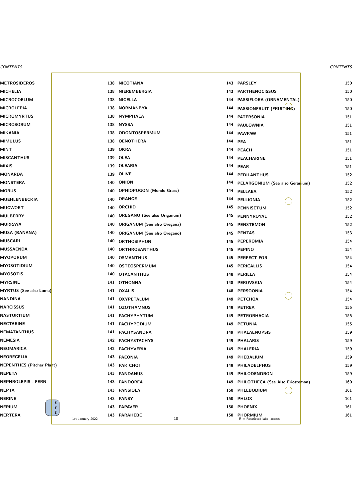|                                  | 138        | <b>NICOTIANA</b>                   | 143 | <b>PARSLEY</b>                                |
|----------------------------------|------------|------------------------------------|-----|-----------------------------------------------|
|                                  | 138        | NIEREMBERGIA                       | 143 | <b>PARTHENOCISSUS</b>                         |
|                                  | 138        | <b>NIGELLA</b>                     | 144 | PASSIFLORA (ORNAMENTAL)                       |
|                                  | 138        | <b>NORMANBYA</b>                   | 144 | PASSIONFRUIT (FRUITING)                       |
|                                  | 138        | <b>NYMPHAEA</b>                    | 144 | <b>PATERSONIA</b>                             |
|                                  | 138        | <b>NYSSA</b>                       | 144 | <b>PAULOWNIA</b>                              |
|                                  | 138        | ODONTOSPERMUM                      | 144 | <b>PAWPAW</b>                                 |
|                                  |            | 138 OENOTHERA                      | 144 | <b>PEA</b>                                    |
|                                  | 139        | <b>OKRA</b>                        | 144 | <b>PEACH</b>                                  |
|                                  |            | 139 OLEA                           |     | 144 PEACHARINE                                |
|                                  |            | 139 OLEARIA                        | 144 | <b>PEAR</b>                                   |
|                                  | 139        | <b>OLIVE</b>                       | 144 | <b>PEDILANTHUS</b>                            |
|                                  |            | 140 ONION                          | 144 | <b>PELARGONIUM (See also Gera</b>             |
|                                  |            | 140 OPHIOPOGON (Mondo Grass)       | 144 | <b>PELLAEA</b>                                |
|                                  | 140        | <b>ORANGE</b>                      | 144 | <b>PELLIONIA</b>                              |
|                                  |            | 140 ORCHID                         | 145 | <b>PENNISETUM</b>                             |
|                                  | 140        | <b>OREGANO</b> (See also Origanum) | 145 | PENNYROYAL                                    |
|                                  | 140        | <b>ORIGANUM (See also Oregana)</b> | 145 | <b>PENSTEMON</b>                              |
|                                  | <b>140</b> | <b>ORIGANUM (See also Oregano)</b> |     | 145 PENTAS                                    |
|                                  | 140        | <b>ORTHOSIPHON</b>                 | 145 | PEPEROMIA                                     |
|                                  | 140        | <b>ORTHROSANTHUS</b>               | 145 | <b>PEPINO</b>                                 |
|                                  | 140        | <b>OSMANTHUS</b>                   |     | 145 PERFECT FOR                               |
|                                  |            | 140 OSTEOSPERMUM                   |     | 145 PERICALLIS                                |
|                                  |            | 140 OTACANTHUS                     |     | 148 PERILLA                                   |
|                                  |            | 141 OTHONNA                        | 148 | <b>PEROVSKIA</b>                              |
|                                  |            | 141 OXALIS                         | 148 | <b>PERSOONIA</b>                              |
|                                  |            | 141 OXYPETALUM                     | 149 | <b>PETCHOA</b>                                |
|                                  |            | 141 OZOTHAMNUS                     | 149 | <b>PETREA</b>                                 |
|                                  |            | 141 PACHYPHYTUM                    | 149 | PETRORHAGIA                                   |
|                                  |            | 141 PACHYPODIUM                    | 149 | <b>PETUNIA</b>                                |
|                                  |            | 141 PACHYSANDRA                    | 149 | <b>PHALAENOPSIS</b>                           |
|                                  |            | 142 PACHYSTACHYS                   |     | 149 PHALARIS                                  |
|                                  |            | 142 PACHYVERIA                     |     | 149 PHALERIA                                  |
|                                  | 143        | <b>PAEONIA</b>                     | 149 | PHEBALIUM                                     |
| nt)                              |            | 143 PAK CHOI                       | 149 | <b>PHILADELPHUS</b>                           |
|                                  |            | 143 PANDANUS                       | 149 | PHILODENDRON                                  |
|                                  | 143        | <b>PANDOREA</b>                    | 149 | <b>PHILOTHECA (See Also Erioste</b>           |
|                                  | 143        | <b>PANSIOLA</b>                    | 150 | PHLEBODIUM                                    |
| $\mathbf{X}$                     |            | 143 PANSY                          |     | 150 PHLOX                                     |
| $\mathbf{Y}$                     |            | 143 PAPAVER                        |     | 150 PHOENIX                                   |
| $\mathbf{z}$<br>1st January 2022 |            | 143 PARAHEBE<br>18                 |     | 150 PHORMIUM<br>$R =$ Restricted label access |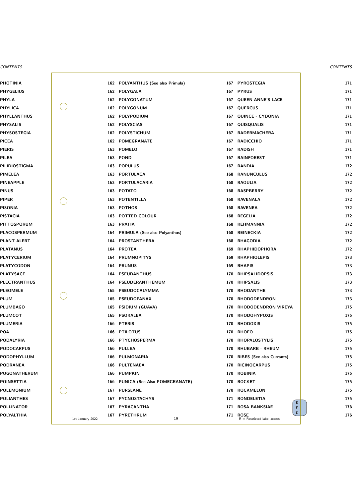|                  |     | 162 POLYANTHUS (See also Primula) | 167 | <b>PYROSTEGIA</b>                            |
|------------------|-----|-----------------------------------|-----|----------------------------------------------|
|                  |     | 162 POLYGALA                      | 167 | <b>PYRUS</b>                                 |
|                  |     | 162 POLYGONATUM                   | 167 | <b>QUEEN ANNE'S LACE</b>                     |
|                  |     | 162 POLYGONUM                     | 167 | <b>QUERCUS</b>                               |
|                  |     | 162 POLYPODIUM                    | 167 | <b>QUINCE - CYDONIA</b>                      |
|                  |     | 162 POLYSCIAS                     | 167 | QUISQUALIS                                   |
|                  |     | 162 POLYSTICHUM                   | 167 | <b>RADERMACHERA</b>                          |
|                  |     | 162 POMEGRANATE                   | 167 | <b>RADICCHIO</b>                             |
|                  |     | 163 POMELO                        | 167 | <b>RADISH</b>                                |
|                  |     | 163 POND                          | 167 | <b>RAINFOREST</b>                            |
|                  |     | 163 POPULUS                       | 167 | <b>RANDIA</b>                                |
|                  |     | 163 PORTULACA                     | 168 | <b>RANUNCULUS</b>                            |
|                  | 163 | PORTULACARIA                      | 168 | <b>RAOULIA</b>                               |
|                  |     | 163 POTATO                        |     | 168 RASPBERRY                                |
|                  |     | <b>163 POTENTILLA</b>             | 168 | <b>RAVENALA</b>                              |
|                  |     | 163 POTHOS                        | 168 | <b>RAVENEA</b>                               |
|                  |     | 163 POTTED COLOUR                 |     | 168 REGELIA                                  |
|                  |     | 163 PRATIA                        | 168 | <b>REHMANNIA</b>                             |
|                  |     | 164 PRIMULA (See also Polyanthus) | 168 | <b>REINECKIA</b>                             |
|                  |     | 164 PROSTANTHERA                  | 168 | <b>RHAGODIA</b>                              |
|                  |     | 164 PROTEA                        | 169 | <b>RHAPHIDOPHORA</b>                         |
|                  | 164 | <b>PRUMNOPITYS</b>                | 169 | <b>RHAPHIOLEPIS</b>                          |
|                  |     | 164 PRUNUS                        |     | 169 RHAPIS                                   |
|                  |     | <b>164 PSEUDANTHUS</b>            | 170 | <b>RHIPSALIDOPSIS</b>                        |
|                  | 164 | PSEUDERANTHEMUM                   | 170 | <b>RHIPSALIS</b>                             |
|                  | 165 | PSEUDOCALYMMA                     | 170 | <b>RHODANTHE</b>                             |
|                  | 165 | PSEUDOPANAX                       | 170 | <b>RHODODENDRON</b>                          |
|                  | 165 | <b>PSIDIUM (GUAVA)</b>            | 170 | RHODODENDRON VIREYA                          |
|                  | 165 | <b>PSORALEA</b>                   | 170 | <b>RHODOHYPOXIS</b>                          |
|                  |     | 166 PTERIS                        | 170 | <b>RHODOXIS</b>                              |
|                  |     | 166 PTILOTUS                      | 170 | <b>RHOEO</b>                                 |
|                  | 166 | <b>PTYCHOSPERMA</b>               | 170 | <b>RHOPALOSTYLIS</b>                         |
|                  |     | 166 PULLEA                        | 170 | <b>RHUBARB - RHEUM</b>                       |
|                  |     | 166 PULMONARIA                    | 170 | <b>RIBES (See also Currants)</b>             |
|                  | 166 | <b>PULTENAEA</b>                  | 170 | <b>RICINOCARPUS</b>                          |
|                  | 166 | <b>PUMPKIN</b>                    | 170 | <b>ROBINIA</b>                               |
|                  |     | 166 PUNICA (See Also POMEGRANATE) | 170 | <b>ROCKET</b>                                |
|                  | 167 | <b>PURSLANE</b>                   | 170 | <b>ROCKMELON</b>                             |
|                  | 167 | <b>PYCNOSTACHYS</b>               | 171 | <b>RONDELETIA</b><br>X                       |
|                  | 167 | PYRACANTHA                        | 171 | <b>ROSA BANKSIAE</b><br>Y<br>$\mathbf{z}$    |
| 1st January 2022 | 167 | <b>PYRETHRUM</b><br>19            | 171 | <b>ROSE</b><br>$R =$ Restricted label access |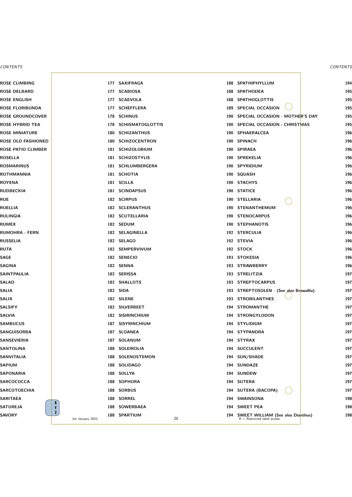|                              |     | 177 SAXIFRAGA         |     | 188 SPATHIPHYLLUM                                                   |
|------------------------------|-----|-----------------------|-----|---------------------------------------------------------------------|
|                              |     | 177 SCABIOSA          |     | 188 SPATHODEA                                                       |
|                              |     | 177 SCAEVOLA          |     | 188 SPATHOGLOTTIS                                                   |
|                              |     | 177 SCHEFFLERA        |     | 189 SPECIAL OCCASION                                                |
|                              |     | 178 SCHINUS           | 190 | <b>SPECIAL OCCASION - MOTHE</b>                                     |
|                              |     | 178 SCHISMATOGLOTTIS  |     | 190 SPECIAL OCCASION : CHRIST                                       |
|                              |     | 180 SCHIZANTHUS       |     | 190 SPHAERALCEA                                                     |
|                              |     | 180 SCHIZOCENTRON     |     | 190 SPINACH                                                         |
|                              |     | 181 SCHIZOLOBIUM      |     | 190 SPIRAEA                                                         |
|                              |     | 181 SCHIZOSTYLIS      |     | 190 SPREKELIA                                                       |
|                              |     | 181 SCHLUMBERGERA     |     | 190 SPYRIDIUM                                                       |
|                              |     | 181 SCHOTIA           |     | 190 SQUASH                                                          |
|                              |     | 181 SCILLA            |     | 190 STACHYS                                                         |
|                              |     | 181 SCINDAPSUS        |     | 190 STATICE                                                         |
|                              |     | 182 SCIRPUS           |     | 190 STELLARIA                                                       |
|                              |     | 182 SCLERANTHUS       |     | 190 STENANTHEMUM                                                    |
|                              |     | 182 SCUTELLARIA       |     | 190 STENOCARPUS                                                     |
|                              |     | 182 SEDUM             |     | 190 STEPHANOTIS                                                     |
|                              |     | 182 SELAGINELLA       |     | 192 STERCULIA                                                       |
|                              |     | 182 SELAGO            |     | 192 STEVIA                                                          |
|                              |     | 182 SEMPERVIVUM       |     | 192 STOCK                                                           |
|                              |     | 182 SENECIO           |     | 193 STOKESIA                                                        |
|                              |     | 182 SENNA             |     | 193 STRAWBERRY                                                      |
|                              |     | 182 SERISSA           | 193 | <b>STRELITZIA</b>                                                   |
|                              |     | 182 SHALLOTS          | 193 | <b>STREPTOCARPUS</b>                                                |
|                              |     | 182 SIDA              | 193 | STREPTOSOLEN - (See also Br                                         |
|                              |     | 182 SILENE            | 193 | <b>STROBILANTHES</b>                                                |
|                              |     | 182 SILVERBEET        | 194 | <b>STROMANTHE</b>                                                   |
|                              |     | 182 SISIRINCHIUM      | 194 | <b>STRONGYLODON</b>                                                 |
|                              | 187 | <b>SISYRINCHIUM</b>   | 194 | <b>STYLIDIUM</b>                                                    |
|                              |     | 187 SLOANEA           | 194 | <b>STYPANDRA</b>                                                    |
|                              |     | 187 SOLANUM           | 194 | <b>STYRAX</b>                                                       |
|                              | 188 | <b>SOLEIROLIA</b>     | 194 | <b>SUCCULENT</b>                                                    |
|                              | 188 | <b>SOLENOSTEMON</b>   | 194 | <b>SUN/SHADE</b>                                                    |
|                              |     | 188 SOLIDAGO          | 194 | <b>SUNDAZE</b>                                                      |
|                              |     | 188 SOLLYA            | 194 | <b>SUNDEW</b>                                                       |
|                              | 188 | <b>SOPHORA</b>        | 194 | <b>SUTERA</b>                                                       |
|                              |     | 188 SORBUS            | 194 | <b>SUTERA (BACOPA)</b>                                              |
| $\mathbf{X}$                 |     | 188 SORREL            | 194 | <b>SWAINSONA</b>                                                    |
| $\mathbf{Y}$<br>$\mathbf{z}$ | 188 | <b>SOWERBAEA</b>      | 194 | <b>SWEET PEA</b>                                                    |
| 1st January 2022             | 188 | <b>SPARTIUM</b><br>20 | 194 | <b>SWEET WILLIAM (See also Dia</b><br>$R =$ Restricted label access |